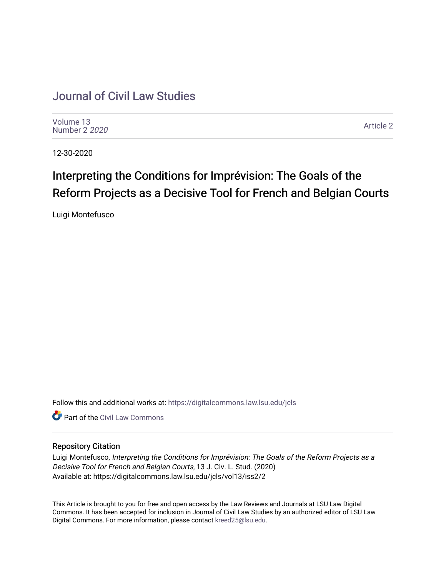## [Journal of Civil Law Studies](https://digitalcommons.law.lsu.edu/jcls)

[Volume 13](https://digitalcommons.law.lsu.edu/jcls/vol13) [Number 2](https://digitalcommons.law.lsu.edu/jcls/vol13/iss2) 2020

[Article 2](https://digitalcommons.law.lsu.edu/jcls/vol13/iss2/2) 

12-30-2020

# Interpreting the Conditions for Imprévision: The Goals of the Reform Projects as a Decisive Tool for French and Belgian Courts

Luigi Montefusco

Follow this and additional works at: [https://digitalcommons.law.lsu.edu/jcls](https://digitalcommons.law.lsu.edu/jcls?utm_source=digitalcommons.law.lsu.edu%2Fjcls%2Fvol13%2Fiss2%2F2&utm_medium=PDF&utm_campaign=PDFCoverPages) 

**C** Part of the [Civil Law Commons](http://network.bepress.com/hgg/discipline/835?utm_source=digitalcommons.law.lsu.edu%2Fjcls%2Fvol13%2Fiss2%2F2&utm_medium=PDF&utm_campaign=PDFCoverPages)

## Repository Citation

Luigi Montefusco, Interpreting the Conditions for Imprévision: The Goals of the Reform Projects as a Decisive Tool for French and Belgian Courts, 13 J. Civ. L. Stud. (2020) Available at: https://digitalcommons.law.lsu.edu/jcls/vol13/iss2/2

This Article is brought to you for free and open access by the Law Reviews and Journals at LSU Law Digital Commons. It has been accepted for inclusion in Journal of Civil Law Studies by an authorized editor of LSU Law Digital Commons. For more information, please contact [kreed25@lsu.edu.](mailto:kreed25@lsu.edu)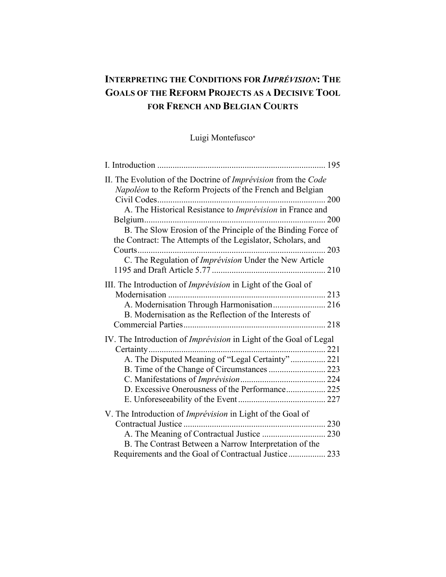## **INTERPRETING THE CONDITIONS FOR** *IMPRÉVISION***: THE GOALS OF THE REFORM PROJECTS AS A DECISIVE TOOL FOR FRENCH AND BELGIAN COURTS**

Luigi Montefusco<sup>∗</sup>

| II. The Evolution of the Doctrine of Imprévision from the Code<br>Napoléon to the Reform Projects of the French and Belgian |  |
|-----------------------------------------------------------------------------------------------------------------------------|--|
| A. The Historical Resistance to Imprévision in France and                                                                   |  |
|                                                                                                                             |  |
| B. The Slow Erosion of the Principle of the Binding Force of<br>the Contract: The Attempts of the Legislator, Scholars, and |  |
|                                                                                                                             |  |
| C. The Regulation of Imprévision Under the New Article                                                                      |  |
|                                                                                                                             |  |
| III. The Introduction of Imprévision in Light of the Goal of                                                                |  |
| A. Modernisation Through Harmonisation 216                                                                                  |  |
| B. Modernisation as the Reflection of the Interests of                                                                      |  |
|                                                                                                                             |  |
| IV. The Introduction of <i>Imprévision</i> in Light of the Goal of Legal                                                    |  |
|                                                                                                                             |  |
| A. The Disputed Meaning of "Legal Certainty" 221                                                                            |  |
| B. Time of the Change of Circumstances  223                                                                                 |  |
|                                                                                                                             |  |
| D. Excessive Onerousness of the Performance 225                                                                             |  |
|                                                                                                                             |  |
| V. The Introduction of <i>Imprévision</i> in Light of the Goal of                                                           |  |
|                                                                                                                             |  |
|                                                                                                                             |  |
| B. The Contrast Between a Narrow Interpretation of the                                                                      |  |
| Requirements and the Goal of Contractual Justice 233                                                                        |  |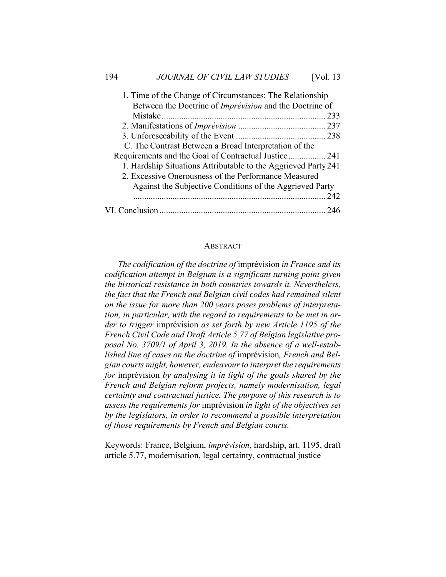| 1. Time of the Change of Circumstances: The Relationship       |     |
|----------------------------------------------------------------|-----|
| Between the Doctrine of Imprévision and the Doctrine of        |     |
|                                                                |     |
|                                                                |     |
|                                                                |     |
| C. The Contrast Between a Broad Interpretation of the          |     |
| Requirements and the Goal of Contractual Justice 241           |     |
| 1. Hardship Situations Attributable to the Aggrieved Party 241 |     |
| 2. Excessive Onerousness of the Performance Measured           |     |
| Against the Subjective Conditions of the Aggrieved Party       |     |
|                                                                | 242 |
|                                                                |     |

#### ABSTRACT

*The codification of the doctrine of* imprévision *in France and its codification attempt in Belgium is a significant turning point given the historical resistance in both countries towards it. Nevertheless, the fact that the French and Belgian civil codes had remained silent on the issue for more than 200 years poses problems of interpretation, in particular, with the regard to requirements to be met in order to trigger* imprévision *as set forth by new Article 1195 of the French Civil Code and Draft Article 5.77 of Belgian legislative proposal No. 3709/1 of April 3, 2019. In the absence of a well-established line of cases on the doctrine of* imprévision*, French and Belgian courts might, however, endeavour to interpret the requirements for* imprévision *by analysing it in light of the goals shared by the French and Belgian reform projects, namely modernisation, legal certainty and contractual justice. The purpose of this research is to assess the requirements for* imprévision *in light of the objectives set by the legislators, in order to recommend a possible interpretation of those requirements by French and Belgian courts.*

Keywords: France, Belgium, *imprévision*, hardship, art. 1195, draft article 5.77, modernisation, legal certainty, contractual justice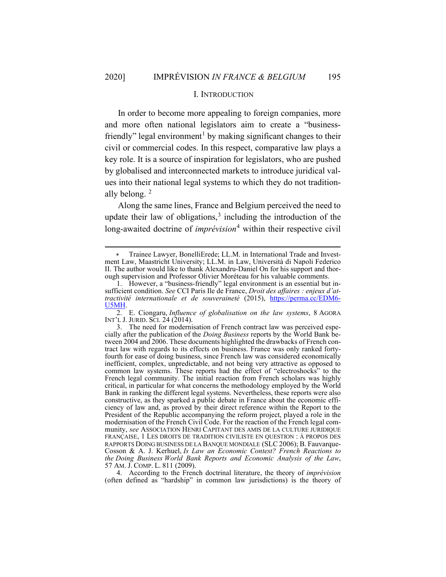#### I. INTRODUCTION

In order to become more appealing to foreign companies, more and more often national legislators aim to create a "businessfriendly" legal environment<sup>1</sup> by making significant changes to their civil or commercial codes. In this respect, comparative law plays a key role. It is a source of inspiration for legislators, who are pushed by globalised and interconnected markets to introduce juridical values into their national legal systems to which they do not traditionally belong.  $2$ 

Along the same lines, France and Belgium perceived the need to update their law of obligations,<sup>3</sup> including the introduction of the long-awaited doctrine of *imprévision*<sup>4</sup> within their respective civil

4. According to the French doctrinal literature, the theory of *imprévision* (often defined as "hardship" in common law jurisdictions) is the theory of

Trainee Lawyer, BonelliErede; LL.M. in International Trade and Investment Law, Maastricht University; LL.M. in Law, Università di Napoli Federico II. The author would like to thank Alexandru-Daniel On for his support and thorough supervision and Professor Olivier Moréteau for his valuable comments.

<sup>1.</sup> However, a "business-friendly" legal environment is an essential but insufficient condition. *See* CCI Paris Ile de France, *Droit des affaires : enjeux d'attractivité internationale et de souveraineté* (2015), https://perma.cc/EDM6- U5MH.

<sup>2.</sup> E. Ciongaru, *Influence of globalisation on the law systems*, 8 AGORA INT'L J. JURID. SCI. 24 (2014).

<sup>3.</sup> The need for modernisation of French contract law was perceived especially after the publication of the *Doing Business* reports by the World Bank between 2004 and 2006. These documents highlighted the drawbacks of French contract law with regards to its effects on business. France was only ranked fortyfourth for ease of doing business, since French law was considered economically inefficient, complex, unpredictable, and not being very attractive as opposed to common law systems. These reports had the effect of "electroshocks" to the French legal community. The initial reaction from French scholars was highly critical, in particular for what concerns the methodology employed by the World Bank in ranking the different legal systems. Nevertheless, these reports were also constructive, as they sparked a public debate in France about the economic efficiency of law and, as proved by their direct reference within the Report to the President of the Republic accompanying the reform project, played a role in the modernisation of the French Civil Code. For the reaction of the French legal community, *see* ASSOCIATION HENRI CAPITANT DES AMIS DE LA CULTURE JURIDIQUE FRANÇAISE, 1 LES DROITS DE TRADITION CIVILISTE EN QUESTION : À PROPOS DES RAPPORTS DOING BUSINESS DE LA BANQUE MONDIALE (SLC 2006); B. Fauvarque-Cosson & A. J. Kerhuel, *Is Law an Economic Contest? French Reactions to the Doing Business World Bank Reports and Economic Analysis of the Law*, 57 AM. J. COMP. L. 811 (2009).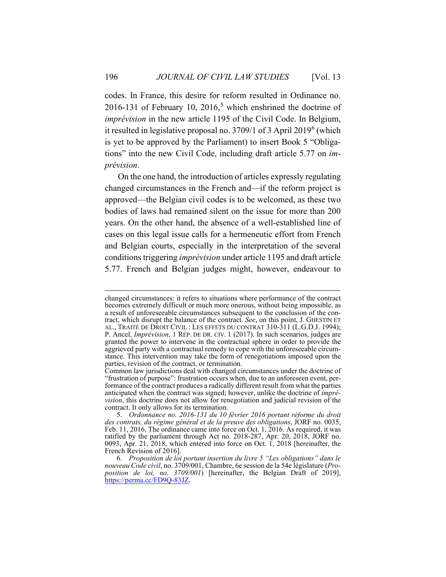codes. In France, this desire for reform resulted in Ordinance no. 2016-131 of February 10, 2016,<sup>5</sup> which enshrined the doctrine of *imprévision* in the new article 1195 of the Civil Code. In Belgium, it resulted in legislative proposal no. 3709/1 of 3 April 2019<sup>6</sup> (which is yet to be approved by the Parliament) to insert Book 5 "Obligations" into the new Civil Code, including draft article 5.77 on *imprévision*.

On the one hand, the introduction of articles expressly regulating changed circumstances in the French and—if the reform project is approved—the Belgian civil codes is to be welcomed, as these two bodies of laws had remained silent on the issue for more than 200 years. On the other hand, the absence of a well-established line of cases on this legal issue calls for a hermeneutic effort from French and Belgian courts, especially in the interpretation of the several conditions triggering *imprévision* under article 1195 and draft article 5.77. French and Belgian judges might, however, endeavour to

changed circumstances: it refers to situations where performance of the contract becomes extremely difficult or much more onerous, without being impossible, as a result of unforeseeable circumstances subsequent to the conclusion of the contract, which disrupt the balance of the contract. *See*, on this point, J. GHESTIN ET AL., TRAITÉ DE DROIT CIVIL : LES EFFETS DU CONTRAT 310-311 (L.G.D.J. 1994); P. Ancel, *Imprévision*, 1 RÉP. DE DR. CIV. 1 (2017). In such scenarios, judges are granted the power to intervene in the contractual sphere in order to provide the aggrieved party with a contractual remedy to cope with the unforeseeable circumstance. This intervention may take the form of renegotiations imposed upon the parties, revision of the contract, or termination.

Common law jurisdictions deal with changed circumstances under the doctrine of "frustration of purpose": frustration occurs when, due to an unforeseen event, performance of the contract produces a radically different result from what the parties anticipated when the contract was signed; however, unlike the doctrine of *imprévision*, this doctrine does not allow for renegotiation and judicial revision of the contract. It only allows for its termination.

<sup>5.</sup> *Ordonnance no. 2016-131 du 10 février 2016 portant réforme du droit des contrats, du régime général et de la preuve des obligations*, JORF no. 0035, Feb. 11, 2016. The ordinance came into force on Oct. 1, 2016. As required, it was ratified by the parliament through Act no. 2018-287, Apr. 20, 2018, JORF no. 0093, Apr. 21, 2018, which entered into force on Oct. 1, 2018 [hereinafter, the French Revision of 2016].

<sup>6.</sup> *Proposition de loi portant insertion du livre 5 "Les obligations" dans le nouveau Code civil*, no. 3709/001, Chambre, 6e session de la 54e législature (*Proposition de loi, no. 3709/001*) [hereinafter, the Belgian Draft of 2019], https://perma.cc/FD9Q-83JZ.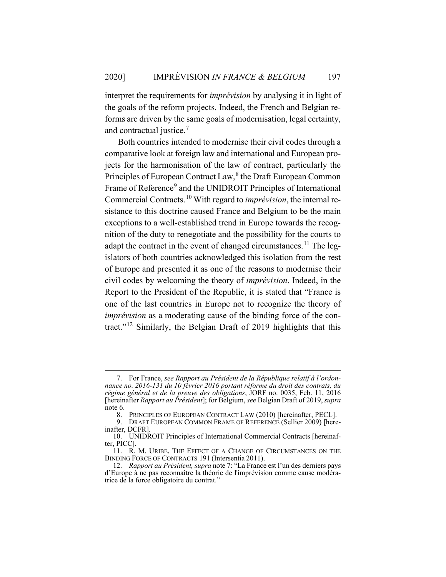interpret the requirements for *imprévision* by analysing it in light of the goals of the reform projects. Indeed, the French and Belgian reforms are driven by the same goals of modernisation, legal certainty, and contractual justice.<sup>7</sup>

Both countries intended to modernise their civil codes through a comparative look at foreign law and international and European projects for the harmonisation of the law of contract, particularly the Principles of European Contract Law,<sup>8</sup> the Draft European Common Frame of Reference<sup>9</sup> and the UNIDROIT Principles of International Commercial Contracts. <sup>10</sup> With regard to *imprévision*, the internal resistance to this doctrine caused France and Belgium to be the main exceptions to a well-established trend in Europe towards the recognition of the duty to renegotiate and the possibility for the courts to adapt the contract in the event of changed circumstances.<sup>11</sup> The legislators of both countries acknowledged this isolation from the rest of Europe and presented it as one of the reasons to modernise their civil codes by welcoming the theory of *imprévision*. Indeed, in the Report to the President of the Republic, it is stated that "France is one of the last countries in Europe not to recognize the theory of *imprévision* as a moderating cause of the binding force of the contract."<sup>12</sup> Similarly, the Belgian Draft of 2019 highlights that this

<sup>7.</sup> For France, *see Rapport au Président de la République relatif à l'ordonnance no. 2016-131 du 10 février 2016 portant réforme du droit des contrats, du régime général et de la preuve des obligations*, JORF no. 0035, Feb. 11, 2016 [hereinafter *Rapport au Président*]; for Belgium, *see* Belgian Draft of 2019, *supra*  note 6.

<sup>8.</sup> PRINCIPLES OF EUROPEAN CONTRACT LAW (2010) [hereinafter, PECL].

<sup>9.</sup> DRAFT EUROPEAN COMMON FRAME OF REFERENCE (Sellier 2009) [hereinafter, DCFR].

<sup>10.</sup> UNIDROIT Principles of International Commercial Contracts [hereinafter, PICC].

<sup>11.</sup> R. M. URIBE, THE EFFECT OF A CHANGE OF CIRCUMSTANCES ON THE BINDING FORCE OF CONTRACTS 191 (Intersentia 2011).

<sup>12.</sup> *Rapport au Président, supra* note 7: "La France est l'un des derniers pays d'Europe à ne pas reconnaître la théorie de l'imprévision comme cause modératrice de la force obligatoire du contrat."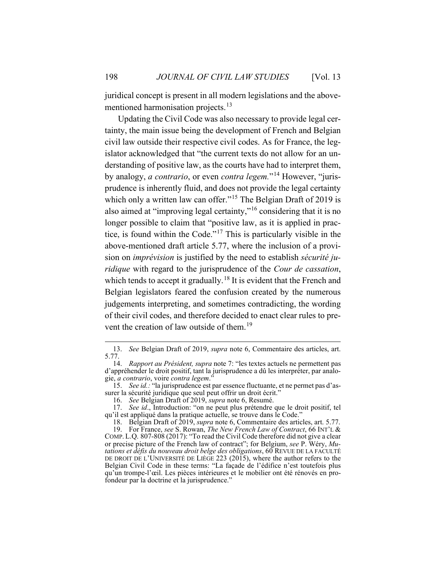juridical concept is present in all modern legislations and the abovementioned harmonisation projects.<sup>13</sup>

Updating the Civil Code was also necessary to provide legal certainty, the main issue being the development of French and Belgian civil law outside their respective civil codes. As for France, the legislator acknowledged that "the current texts do not allow for an understanding of positive law, as the courts have had to interpret them, by analogy, *a contrario*, or even *contra legem.*"<sup>14</sup> However, "jurisprudence is inherently fluid, and does not provide the legal certainty which only a written law can offer."<sup>15</sup> The Belgian Draft of 2019 is also aimed at "improving legal certainty,"<sup>16</sup> considering that it is no longer possible to claim that "positive law, as it is applied in practice, is found within the Code."<sup>17</sup> This is particularly visible in the above-mentioned draft article 5.77, where the inclusion of a provision on *imprévision* is justified by the need to establish *sécurité juridique* with regard to the jurisprudence of the *Cour de cassation*, which tends to accept it gradually.<sup>18</sup> It is evident that the French and Belgian legislators feared the confusion created by the numerous judgements interpreting, and sometimes contradicting, the wording of their civil codes, and therefore decided to enact clear rules to prevent the creation of law outside of them.<sup>19</sup>

<sup>13.</sup> *See* Belgian Draft of 2019, *supra* note 6, Commentaire des articles, art. 5.77.

<sup>14.</sup> *Rapport au Président, supra* note 7: "les textes actuels ne permettent pas d'appréhender le droit positif, tant la jurisprudence a dû les interpréter, par analogie, *a contrario*, voire *contra legem*."

<sup>15.</sup> *See id.:* "la jurisprudence est par essence fluctuante, et ne permet pas d'assurer la sécurité juridique que seul peut offrir un droit écrit."

<sup>16.</sup> *See* Belgian Draft of 2019, *supra* note 6, Resumé.

<sup>17.</sup> *See id*., Introduction: "on ne peut plus prétendre que le droit positif, tel qu'il est appliqué dans la pratique actuelle, se trouve dans le Code."

<sup>18.</sup> Belgian Draft of 2019, *supra* note 6, Commentaire des articles, art. 5.77.

<sup>19.</sup> For France, *see* S. Rowan, *The New French Law of Contract*, 66 INT'L & COMP. L.Q. 807-808 (2017): "To read the Civil Code therefore did not give a clear or precise picture of the French law of contract"; for Belgium, *see* P. Wéry, *Mutations et défis du nouveau droit belge des obligations*, 60 REVUE DE LA FACULTÉ DE DROIT DE L'UNIVERSITÉ DE LIÈGE 223 (2015), where the author refers to the Belgian Civil Code in these terms: "La façade de l'édifice n'est toutefois plus qu'un trompe-l'œil. Les pièces intérieures et le mobilier ont été rénovés en profondeur par la doctrine et la jurisprudence."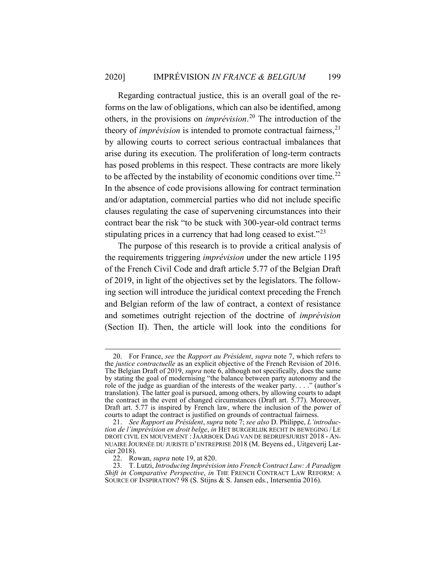Regarding contractual justice, this is an overall goal of the reforms on the law of obligations, which can also be identified, among others, in the provisions on *imprévision*. <sup>20</sup> The introduction of the theory of *imprévision* is intended to promote contractual fairness,<sup>21</sup> by allowing courts to correct serious contractual imbalances that arise during its execution. The proliferation of long-term contracts has posed problems in this respect. These contracts are more likely to be affected by the instability of economic conditions over time.<sup>22</sup> In the absence of code provisions allowing for contract termination and/or adaptation, commercial parties who did not include specific clauses regulating the case of supervening circumstances into their contract bear the risk "to be stuck with 300-year-old contract terms stipulating prices in a currency that had long ceased to exist."<sup>23</sup>

The purpose of this research is to provide a critical analysis of the requirements triggering *imprévision* under the new article 1195 of the French Civil Code and draft article 5.77 of the Belgian Draft of 2019, in light of the objectives set by the legislators. The following section will introduce the juridical context preceding the French and Belgian reform of the law of contract, a context of resistance and sometimes outright rejection of the doctrine of *imprévision* (Section II). Then, the article will look into the conditions for

<sup>20.</sup> For France, *see* the *Rapport au Président*, *supra* note 7, which refers to the *justice contractuelle* as an explicit objective of the French Revision of 2016. The Belgian Draft of 2019, *supra* note 6, although not specifically, does the same by stating the goal of modernising "the balance between party autonomy and the role of the judge as guardian of the interests of the weaker party. . . ." (author's translation). The latter goal is pursued, among others, by allowing courts to adapt the contract in the event of changed circumstances (Draft art. 5.77). Moreover, Draft art. 5.77 is inspired by French law, where the inclusion of the power of courts to adapt the contract is justified on grounds of contractual fairness.

<sup>21.</sup> *See Rapport au Président*, *supra* note 7; *see also* D. Philippe, *L'introduction de l'imprévision en droit belge*, *in* HET BURGERLIJK RECHT IN BEWEGING / LE DROIT CIVIL EN MOUVEMENT :JAARBOEK DAG VAN DE BEDRIJFSJURIST 2018 - AN-NUAIRE JOURNÉE DU JURISTE D'ENTREPRISE 2018 (M. Beyens ed., Uitgeverij Larcier 2018).

<sup>22.</sup> Rowan, *supra* note 19, at 820.

<sup>23.</sup> T. Lutzi, *Introducing Imprévision into French Contract Law: A Paradigm Shift in Comparative Perspective*, *in* THE FRENCH CONTRACT LAW REFORM: A SOURCE OF INSPIRATION? 98 (S. Stijns & S. Jansen eds., Intersentia 2016).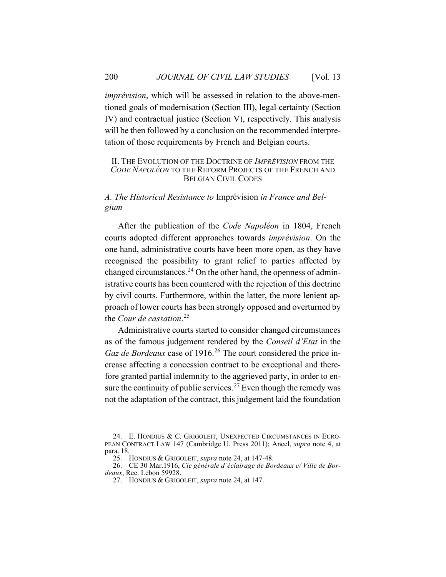*imprévision*, which will be assessed in relation to the above-mentioned goals of modernisation (Section III), legal certainty (Section IV) and contractual justice (Section V), respectively. This analysis will be then followed by a conclusion on the recommended interpretation of those requirements by French and Belgian courts.

#### II. THE EVOLUTION OF THE DOCTRINE OF *IMPRÉVISION* FROM THE *CODE NAPOLÉON* TO THE REFORM PROJECTS OF THE FRENCH AND BELGIAN CIVIL CODES

*A. The Historical Resistance to* Imprévision *in France and Belgium*

After the publication of the *Code Napoléon* in 1804, French courts adopted different approaches towards *imprévision*. On the one hand, administrative courts have been more open, as they have recognised the possibility to grant relief to parties affected by changed circumstances.<sup>24</sup> On the other hand, the openness of administrative courts has been countered with the rejection of this doctrine by civil courts. Furthermore, within the latter, the more lenient approach of lower courts has been strongly opposed and overturned by the *Cour de cassation*. 25

Administrative courts started to consider changed circumstances as of the famous judgement rendered by the *Conseil d'Etat* in the *Gaz de Bordeaux* case of 1916.<sup>26</sup> The court considered the price increase affecting a concession contract to be exceptional and therefore granted partial indemnity to the aggrieved party, in order to ensure the continuity of public services.<sup>27</sup> Even though the remedy was not the adaptation of the contract, this judgement laid the foundation

<sup>24.</sup> E. HONDIUS & C. GRIGOLEIT, UNEXPECTED CIRCUMSTANCES IN EURO-PEAN CONTRACT LAW 147 (Cambridge U. Press 2011); Ancel, *supra* note 4, at para. 18.

<sup>25.</sup> HONDIUS & GRIGOLEIT, *supra* note 24, at 147-48.

<sup>26.</sup> CE 30 Mar.1916, *Cie générale d'éclairage de Bordeaux c/ Ville de Bordeaux*, Rec. Lebon 59928.

<sup>27.</sup> HONDIUS & GRIGOLEIT, *supra* note 24, at 147.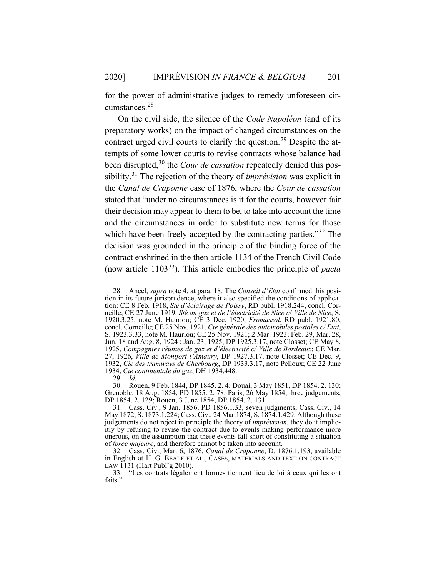for the power of administrative judges to remedy unforeseen circumstances.<sup>28</sup>

On the civil side, the silence of the *Code Napoléon* (and of its preparatory works) on the impact of changed circumstances on the contract urged civil courts to clarify the question.<sup>29</sup> Despite the attempts of some lower courts to revise contracts whose balance had been disrupted,<sup>30</sup> the *Cour de cassation* repeatedly denied this possibility.<sup>31</sup> The rejection of the theory of *imprévision* was explicit in the *Canal de Craponne* case of 1876, where the *Cour de cassation* stated that "under no circumstances is it for the courts, however fair their decision may appear to them to be, to take into account the time and the circumstances in order to substitute new terms for those which have been freely accepted by the contracting parties."<sup>32</sup> The decision was grounded in the principle of the binding force of the contract enshrined in the then article 1134 of the French Civil Code (now article 110333). This article embodies the principle of *pacta* 

<sup>28.</sup> Ancel, *supra* note 4, at para. 18. The *Conseil d'État* confirmed this position in its future jurisprudence, where it also specified the conditions of application: CE 8 Feb. 1918, *Sté d'éclairage de Poissy*, RD publ. 1918.244, concl. Corneille; CE 27 June 1919, *Sté du gaz et de l'électricité de Nice c/ Ville de Nice*, S. 1920.3.25, note M. Hauriou; CE 3 Dec. 1920, *Fromassol*, RD publ. 1921.80, concl. Corneille; CE 25 Nov. 1921, *Cie générale des automobiles postales c/ État*, S. 1923.3.33, note M. Hauriou; CE 25 Nov. 1921; 2 Mar. 1923; Feb. 29, Mar. 28, Jun. 18 and Aug. 8, 1924 ; Jan. 23, 1925, DP 1925.3.17, note Closset; CE May 8, 1925, *Compagnies réunies de gaz et d'électricité c/ Ville de Bordeaux*; CE Mar. 27, 1926, *Ville de Montfort-l'Amaury*, DP 1927.3.17, note Closset; CE Dec. 9, 1932, *Cie des tramways de Cherbourg*, DP 1933.3.17, note Pelloux; CE 22 June 1934, *Cie continentale du gaz*, DH 1934.448.

<sup>29.</sup> *Id.*

<sup>30.</sup> Rouen, 9 Feb. 1844, DP 1845. 2. 4; Douai, 3 May 1851, DP 1854. 2. 130; Grenoble, 18 Aug. 1854, PD 1855. 2. 78; Paris, 26 May 1854, three judgements, DP 1854. 2. 129; Rouen, 3 June 1854, DP 1854. 2. 131.

<sup>31.</sup> Cass. Civ., 9 Jan. 1856, PD 1856.1.33, seven judgments; Cass. Civ., 14 May 1872, S. 1873.1.224; Cass. Civ., 24 Mar.1874, S. 1874.1.429. Although these judgements do not reject in principle the theory of *imprévision*, they do it implicitly by refusing to revise the contract due to events making performance more onerous, on the assumption that these events fall short of constituting a situation of *force majeure*, and therefore cannot be taken into account.

<sup>32.</sup> Cass. Civ., Mar. 6, 1876, *Canal de Craponne*, D. 1876.1.193, available in English at H. G. BEALE ET AL., CASES, MATERIALS AND TEXT ON CONTRACT LAW 1131 (Hart Publ'g 2010).

<sup>33.</sup> "Les contrats légalement formés tiennent lieu de loi à ceux qui les ont faits."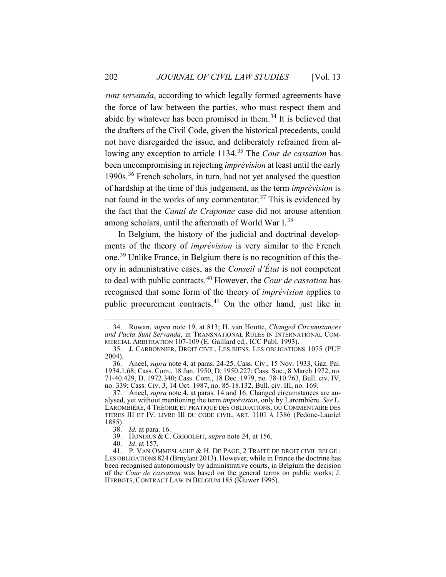*sunt servanda*, according to which legally formed agreements have the force of law between the parties, who must respect them and abide by whatever has been promised in them.<sup>34</sup> It is believed that the drafters of the Civil Code, given the historical precedents, could not have disregarded the issue, and deliberately refrained from allowing any exception to article 1134.<sup>35</sup> The *Cour de cassation* has been uncompromising in rejecting *imprévision* at least until the early 1990s.<sup>36</sup> French scholars, in turn, had not yet analysed the question of hardship at the time of this judgement, as the term *imprévision* is not found in the works of any commentator.<sup>37</sup> This is evidenced by the fact that the *Canal de Craponne* case did not arouse attention among scholars, until the aftermath of World War I.<sup>38</sup>

In Belgium, the history of the judicial and doctrinal developments of the theory of *imprévision* is very similar to the French one.<sup>39</sup> Unlike France, in Belgium there is no recognition of this theory in administrative cases, as the *Conseil d'État* is not competent to deal with public contracts.<sup>40</sup> However, the *Cour de cassation* has recognised that some form of the theory of *imprévision* applies to public procurement contracts.<sup>41</sup> On the other hand, just like in

<sup>34.</sup> Rowan, *supra* note 19, at 813; H. van Houtte, *Changed Circumstances and Pacta Sunt Servanda*, in TRANSNATIONAL RULES IN INTERNATIONAL COM-MERCIAL ARBITRATION 107-109 (E. Gaillard ed., ICC Publ. 1993).

<sup>35.</sup> J. CARBONNIER, DROIT CIVIL. LES BIENS. LES OBLIGATIONS 1075 (PUF 2004).

<sup>36.</sup> Ancel, *supra* note 4, at paras. 24-25. Cass. Civ., 15 Nov. 1933, Gaz. Pal. 1934.1.68; Cass. Com., 18 Jan. 1950, D. 1950.227; Cass. Soc., 8 March 1972, no. 71-40.429, D. 1972.340; Cass. Com., 18 Dec. 1979, no. 78-10.763, Bull. civ. IV, no. 339; Cass. Civ. 3, 14 Oct. 1987, no. 85-18.132, Bull. civ. III, no. 169.

<sup>37.</sup> Ancel, *supra* note 4, at paras. 14 and 16. Changed circumstances are analysed, yet without mentioning the term *imprévision*, only by Larombière. *See* L. LAROMBIÈRE, 4 THÉORIE ET PRATIQUE DES OBLIGATIONS, OU COMMENTAIRE DES TITRES III ET IV, LIVRE III DU CODE CIVIL, ART. 1101 À 1386 (Pedone-Lauriel 1885).

<sup>38.</sup> *Id.* at para. 16.

<sup>39.</sup> HONDIUS & C. GRIGOLEIT, *supra* note 24, at 156.

<sup>40.</sup> *Id*. at 157.

<sup>41.</sup> P. VAN OMMESLAGHE & H. DE PAGE, 2 TRAITÉ DE DROIT CIVIL BELGE : LES OBLIGATIONS 824 (Bruylant 2013). However, while in France the doctrine has been recognised autonomously by administrative courts, in Belgium the decision of the *Cour de cassation* was based on the general terms on public works; J. HERBOTS, CONTRACT LAW IN BELGIUM 185 (Kluwer 1995).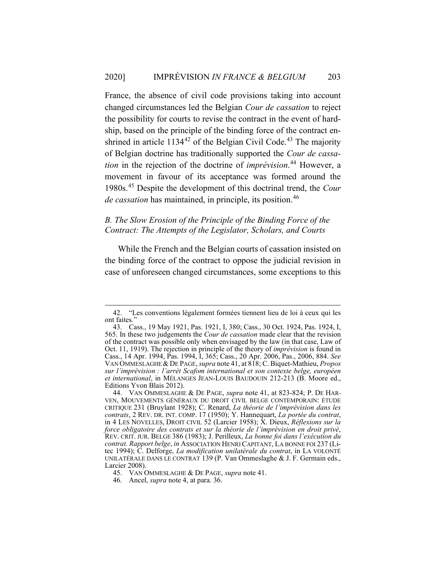France, the absence of civil code provisions taking into account changed circumstances led the Belgian *Cour de cassation* to reject the possibility for courts to revise the contract in the event of hardship, based on the principle of the binding force of the contract enshrined in article  $1134^{42}$  of the Belgian Civil Code.<sup>43</sup> The majority of Belgian doctrine has traditionally supported the *Cour de cassation* in the rejection of the doctrine of *imprévision*. <sup>44</sup> However, a movement in favour of its acceptance was formed around the 1980s.<sup>45</sup> Despite the development of this doctrinal trend, the *Cour de cassation* has maintained, in principle, its position.<sup>46</sup>

## *B. The Slow Erosion of the Principle of the Binding Force of the Contract: The Attempts of the Legislator, Scholars, and Courts*

While the French and the Belgian courts of cassation insisted on the binding force of the contract to oppose the judicial revision in case of unforeseen changed circumstances, some exceptions to this

<sup>42.</sup> "Les conventions légalement formées tiennent lieu de loi à ceux qui les ont faites*.*"

<sup>43.</sup> Cass., 19 May 1921, Pas. 1921, I, 380; Cass., 30 Oct. 1924, Pas. 1924, I, 565. In these two judgements the *Cour de cassation* made clear that the revision of the contract was possible only when envisaged by the law (in that case, Law of Oct. 11, 1919). The rejection in principle of the theory of *imprévision* is found in Cass., 14 Apr. 1994, Pas. 1994, I, 365; Cass., 20 Apr. 2006, Pas., 2006, 884. *See* VAN OMMESLAGHE & DE PAGE, *supra* note 41, at 818; C. Biquet-Mathieu, *Propos sur l'imprévision : l'arrét Scafom international et son contexte belge, européen et international*, in MÉLANGES JEAN-LOUIS BAUDOUIN 212-213 (B. Moore ed., Editions Yvon Blais 2012).

<sup>44.</sup> VAN OMMESLAGHE & DE PAGE, *supra* note 41, at 823-824; P. DE HAR-VEN, MOUVEMENTS GÉNÉRAUX DU DROIT CIVIL BELGE CONTEMPORAIN: ÉTUDE CRITIQUE 231 (Bruylant 1928); C. Renard, *La théorie de l'imprévision dans les contrats*, 2 REV. DR. INT. COMP. 17 (1950); Y. Hannequart, *La portée du contrat*, in 4 LES NOVELLES, DROIT CIVIL 52 (Larcier 1958); X. Dieux, *Réflexions sur la force obligatoire des contrats et sur la théorie de l'imprévision en droit privé*, REV. CRIT. JUR. BELGE 386 (1983); J. Perilleux, *La bonne foi dans l'exécution du contrat. Rapport belge*, *in* ASSOCIATION HENRI CAPITANT, LA BONNE FOI 237 (Litec 1994); C. Delforge, *La modification unilatérale du contrat*, in LA VOLONTÉ UNILATÉRALE DANS LE CONTRAT 139 (P. Van Ommeslaghe & J. F. Germain eds., Larcier 2008).

<sup>45.</sup> VAN OMMESLAGHE & DE PAGE, *supra* note 41.

<sup>46.</sup> Ancel, *supra* note 4, at para. 36.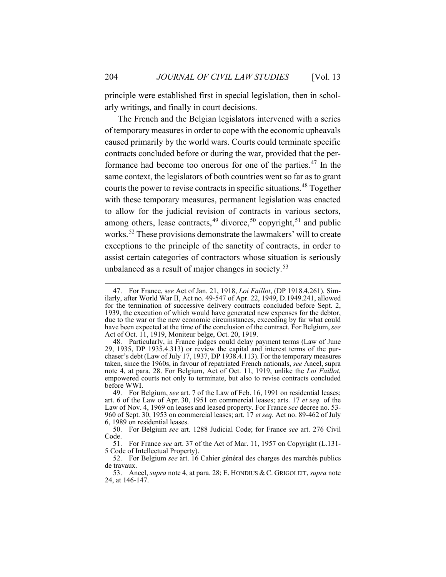principle were established first in special legislation, then in scholarly writings, and finally in court decisions.

The French and the Belgian legislators intervened with a series of temporary measures in order to cope with the economic upheavals caused primarily by the world wars. Courts could terminate specific contracts concluded before or during the war, provided that the performance had become too onerous for one of the parties.<sup>47</sup> In the same context, the legislators of both countries went so far as to grant courts the power to revise contracts in specific situations.<sup>48</sup> Together with these temporary measures, permanent legislation was enacted to allow for the judicial revision of contracts in various sectors, among others, lease contracts,<sup>49</sup> divorce,<sup>50</sup> copyright,<sup>51</sup> and public works.<sup>52</sup> These provisions demonstrate the lawmakers' will to create exceptions to the principle of the sanctity of contracts, in order to assist certain categories of contractors whose situation is seriously unbalanced as a result of major changes in society.<sup>53</sup>

<sup>47.</sup> For France, s*ee* Act of Jan. 21, 1918, *Loi Faillot*, (DP 1918.4.261). Similarly, after World War II, Act no. 49-547 of Apr. 22, 1949, D.1949.241, allowed for the termination of successive delivery contracts concluded before Sept. 2, 1939, the execution of which would have generated new expenses for the debtor, due to the war or the new economic circumstances, exceeding by far what could have been expected at the time of the conclusion of the contract. For Belgium, *see* Act of Oct. 11, 1919, Moniteur belge, Oct. 20, 1919.

<sup>48.</sup> Particularly, in France judges could delay payment terms (Law of June 29, 1935, DP 1935.4.313) or review the capital and interest terms of the purchaser's debt (Law of July 17, 1937, DP 1938.4.113). For the temporary measures taken, since the 1960s, in favour of repatriated French nationals, *see* Ancel, supra note 4, at para. 28. For Belgium, Act of Oct. 11, 1919, unlike the *Loi Faillot*, empowered courts not only to terminate, but also to revise contracts concluded before WWI.

<sup>49.</sup> For Belgium, *see* art. 7 of the Law of Feb. 16, 1991 on residential leases; art. 6 of the Law of Apr. 30, 1951 on commercial leases; arts. 17 *et seq.* of the Law of Nov. 4, 1969 on leases and leased property. For France *see* decree no. 53- 960 of Sept. 30, 1953 on commercial leases; art. 17 *et seq.* Act no. 89-462 of July 6, 1989 on residential leases.

<sup>50.</sup> For Belgium *see* art. 1288 Judicial Code; for France *see* art. 276 Civil Code.

<sup>51.</sup> For France *see* art. 37 of the Act of Mar. 11, 1957 on Copyright (L.131- 5 Code of Intellectual Property).

<sup>52.</sup> For Belgium *see* art. 16 Cahier général des charges des marchés publics de travaux.

<sup>53.</sup> Ancel, *supra* note 4, at para. 28; E. HONDIUS & C. GRIGOLEIT, *supra* note 24, at 146-147.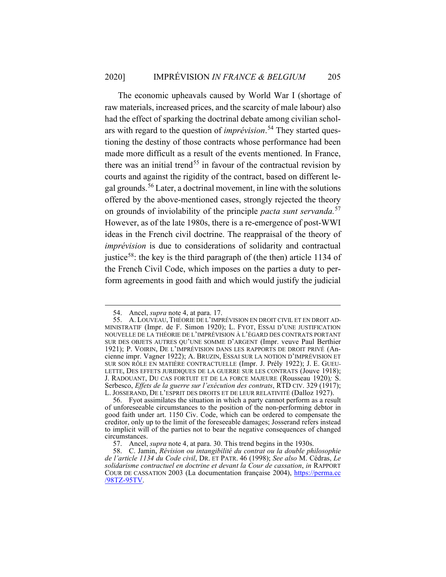The economic upheavals caused by World War I (shortage of raw materials, increased prices, and the scarcity of male labour) also had the effect of sparking the doctrinal debate among civilian scholars with regard to the question of *imprévision*. <sup>54</sup> They started questioning the destiny of those contracts whose performance had been made more difficult as a result of the events mentioned. In France, there was an initial trend<sup>55</sup> in favour of the contractual revision by courts and against the rigidity of the contract, based on different legal grounds.<sup>56</sup> Later, a doctrinal movement, in line with the solutions offered by the above-mentioned cases, strongly rejected the theory on grounds of inviolability of the principle *pacta sunt servanda.*<sup>57</sup> However, as of the late 1980s, there is a re-emergence of post-WWI ideas in the French civil doctrine. The reappraisal of the theory of *imprévision* is due to considerations of solidarity and contractual justice<sup>58</sup>: the key is the third paragraph of (the then) article 1134 of the French Civil Code, which imposes on the parties a duty to perform agreements in good faith and which would justify the judicial

<sup>54.</sup> Ancel, *supra* note 4, at para. 17.

<sup>55.</sup> A. LOUVEAU, THÉORIE DE L'IMPRÉVISION EN DROIT CIVIL ET EN DROIT AD-MINISTRATIF (Impr. de F. Simon 1920); L. FYOT, ESSAI D'UNE JUSTIFICATION NOUVELLE DE LA THÉORIE DE L'IMPRÉVISION À L'ÉGARD DES CONTRATS PORTANT SUR DES OBJETS AUTRES QU'UNE SOMME D'ARGENT (Impr. veuve Paul Berthier 1921); P. VOIRIN, DE L'IMPRÉVISION DANS LES RAPPORTS DE DROIT PRIVÉ (Ancienne impr. Vagner 1922); A. BRUZIN, ESSAI SUR LA NOTION D'IMPRÉVISION ET SUR SON RÔLE EN MATIÈRE CONTRACTUELLE (Impr. J. Prély 1922); J. E. GUEU-LETTE, DES EFFETS JURIDIQUES DE LA GUERRE SUR LES CONTRATS (Jouve 1918); J. RADOUANT, DU CAS FORTUIT ET DE LA FORCE MAJEURE (Rousseau 1920)*;* S. Serbesco, *Effets de la guerre sur l'exécution des contrats*, RTD CIV. 329 (1917); L. JOSSERAND, DE L'ESPRIT DES DROITS ET DE LEUR RELATIVITÉ (Dalloz 1927).

<sup>56.</sup> Fyot assimilates the situation in which a party cannot perform as a result of unforeseeable circumstances to the position of the non-performing debtor in good faith under art. 1150 Civ. Code, which can be ordered to compensate the creditor, only up to the limit of the foreseeable damages; Josserand refers instead to implicit will of the parties not to bear the negative consequences of changed circumstances.

<sup>57.</sup> Ancel, *supra* note 4, at para. 30. This trend begins in the 1930s.

<sup>58.</sup> C. Jamin, *Révision ou intangibilité du contrat ou la double philosophie de l'article 1134 du Code civil*, DR. ET PATR. 46 (1998); *See also* M. Cédras, *Le solidarisme contractuel en doctrine et devant la Cour de cassation*, *in* RAPPORT COUR DE CASSATION 2003 (La documentation française 2004), https://perma.cc /98TZ-95TV.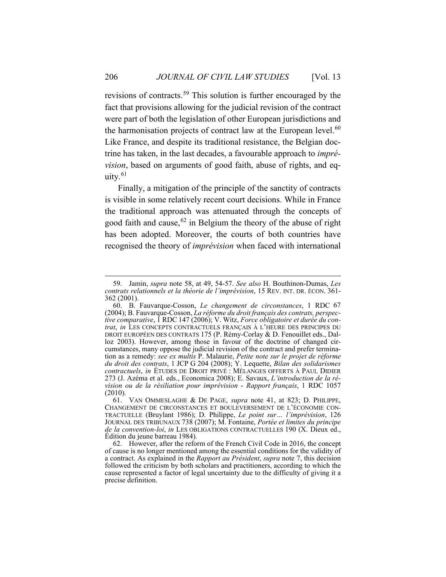revisions of contracts.<sup>59</sup> This solution is further encouraged by the fact that provisions allowing for the judicial revision of the contract were part of both the legislation of other European jurisdictions and the harmonisation projects of contract law at the European level. $60$ Like France, and despite its traditional resistance, the Belgian doctrine has taken, in the last decades, a favourable approach to *imprévision*, based on arguments of good faith, abuse of rights, and equity. $61$ 

Finally, a mitigation of the principle of the sanctity of contracts is visible in some relatively recent court decisions. While in France the traditional approach was attenuated through the concepts of good faith and cause,<sup>62</sup> in Belgium the theory of the abuse of right has been adopted. Moreover, the courts of both countries have recognised the theory of *imprévision* when faced with international

<sup>59.</sup> Jamin, *supra* note 58, at 49, 54-57. *See also* H. Bouthinon-Dumas, *Les contrats relationnels et la théorie de l'imprévision*, 15 REV. INT. DR. ÉCON. 361- <sup>362</sup> (2001).

<sup>60.</sup> B. Fauvarque-Cosson, *Le changement de circonstances*, 1 RDC 67 (2004); B. Fauvarque-Cosson, *La réforme du droit français des contrats, perspective comparative*, 1 RDC 147 (2006); V. Witz, *Force obligatoire et durée du contrat*, *in* LES CONCEPTS CONTRACTUELS FRANÇAIS À L'HEURE DES PRINCIPES DU DROIT EUROPÉEN DES CONTRATS 175 (P. Rémy-Corlay & D. Fenouillet eds., Dalloz 2003). However, among those in favour of the doctrine of changed circumstances, many oppose the judicial revision of the contract and prefer termination as a remedy: *see ex multis* P. Malaurie, *Petite note sur le projet de réforme du droit des contrats*, 1 JCP G 204 (2008); Y. Lequette, *Bilan des solidarismes contractuels*, *in* ÉTUDES DE DROIT PRIVÉ : MÉLANGES OFFERTS À PAUL DIDIER 273 (J. Azéma et al. eds., Economica 2008); E. Savaux, *L'introduction de la révision ou de la résiliation pour imprévision* - *Rapport français*, 1 RDC 1057 (2010).

<sup>61.</sup> VAN OMMESLAGHE & DE PAGE, *supra* note 41, at 823; D. PHILIPPE, CHANGEMENT DE CIRCONSTANCES ET BOULEVERSEMENT DE L'ÉCONOMIE CON-TRACTUELLE (Bruylant 1986); D. Philippe, *Le point sur… l'imprévision*, 126 JOURNAL DES TRIBUNAUX 738 (2007); M. Fontaine, *Portée et limites du principe de la convention-loi*, *in* LES OBLIGATIONS CONTRACTUELLES 190 (X. Dieux ed., Édition du jeune barreau 1984).

<sup>62.</sup> However, after the reform of the French Civil Code in 2016, the concept of cause is no longer mentioned among the essential conditions for the validity of a contract. As explained in the *Rapport au Président*, *supra* note 7, this decision followed the criticism by both scholars and practitioners, according to which the cause represented a factor of legal uncertainty due to the difficulty of giving it a precise definition.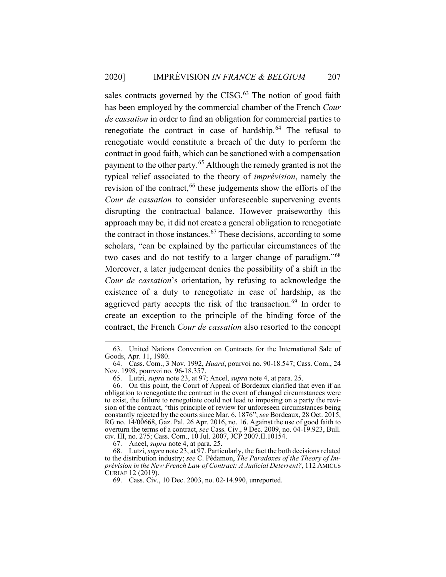sales contracts governed by the CISG. $63$  The notion of good faith has been employed by the commercial chamber of the French *Cour de cassation* in order to find an obligation for commercial parties to renegotiate the contract in case of hardship.<sup>64</sup> The refusal to renegotiate would constitute a breach of the duty to perform the contract in good faith, which can be sanctioned with a compensation payment to the other party.<sup>65</sup> Although the remedy granted is not the typical relief associated to the theory of *imprévision*, namely the revision of the contract,<sup>66</sup> these judgements show the efforts of the *Cour de cassation* to consider unforeseeable supervening events disrupting the contractual balance. However praiseworthy this approach may be, it did not create a general obligation to renegotiate the contract in those instances.<sup>67</sup> These decisions, according to some scholars, "can be explained by the particular circumstances of the two cases and do not testify to a larger change of paradigm."<sup>68</sup> Moreover, a later judgement denies the possibility of a shift in the *Cour de cassation*'s orientation, by refusing to acknowledge the existence of a duty to renegotiate in case of hardship, as the aggrieved party accepts the risk of the transaction.<sup>69</sup> In order to create an exception to the principle of the binding force of the contract, the French *Cour de cassation* also resorted to the concept

67. Ancel, *supra* note 4, at para. 25.

<sup>63.</sup> United Nations Convention on Contracts for the International Sale of Goods, Apr. 11, 1980.

<sup>64.</sup> Cass. Com., 3 Nov. 1992, *Huard*, pourvoi no. 90-18.547; Cass. Com., 24 Nov. 1998, pourvoi no. 96-18.357.

<sup>65.</sup> Lutzi, *supra* note 23, at 97; Ancel, *supra* note 4, at para. 25.

<sup>66.</sup> On this point, the Court of Appeal of Bordeaux clarified that even if an obligation to renegotiate the contract in the event of changed circumstances were to exist, the failure to renegotiate could not lead to imposing on a party the revision of the contract, "this principle of review for unforeseen circumstances being constantly rejected by the courts since Mar. 6, 1876"; *see* Bordeaux, 28 Oct. 2015, RG no. 14/00668, Gaz. Pal. 26 Apr. 2016, no. 16. Against the use of good faith to overturn the terms of a contract, *see* Cass. Civ., 9 Dec. 2009, no. 04-19.923, Bull. civ. III, no. 275; Cass. Com., 10 Jul. 2007, JCP 2007.II.10154.

<sup>68.</sup> Lutzi, *supra* note 23, at 97. Particularly, the fact the both decisions related to the distribution industry; *see* C. Pédamon, *The Paradoxes of the Theory of Imprévision in the New French Law of Contract: A Judicial Deterrent?*, 112 AMICUS CURIAE 12 (2019).

<sup>69.</sup> Cass. Civ., 10 Dec. 2003, no. 02-14.990, unreported.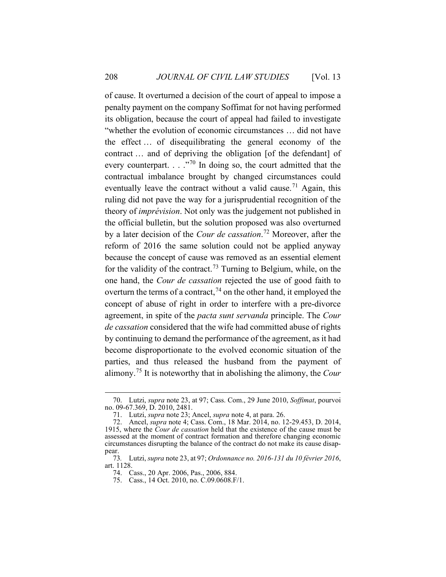of cause. It overturned a decision of the court of appeal to impose a penalty payment on the company Soffimat for not having performed its obligation, because the court of appeal had failed to investigate "whether the evolution of economic circumstances … did not have the effect … of disequilibrating the general economy of the contract … and of depriving the obligation [of the defendant] of every counterpart.  $\ldots$  ."<sup>70</sup> In doing so, the court admitted that the contractual imbalance brought by changed circumstances could eventually leave the contract without a valid cause.<sup>71</sup> Again, this ruling did not pave the way for a jurisprudential recognition of the theory of *imprévision*. Not only was the judgement not published in the official bulletin, but the solution proposed was also overturned by a later decision of the *Cour de cassation*. <sup>72</sup> Moreover, after the reform of 2016 the same solution could not be applied anyway because the concept of cause was removed as an essential element for the validity of the contract.<sup>73</sup> Turning to Belgium, while, on the one hand, the *Cour de cassation* rejected the use of good faith to overturn the terms of a contract,  $^{74}$  on the other hand, it employed the concept of abuse of right in order to interfere with a pre-divorce agreement, in spite of the *pacta sunt servanda* principle. The *Cour de cassation* considered that the wife had committed abuse of rights by continuing to demand the performance of the agreement, as it had become disproportionate to the evolved economic situation of the parties, and thus released the husband from the payment of alimony.<sup>75</sup> It is noteworthy that in abolishing the alimony, the *Cour* 

<sup>70.</sup> Lutzi, *supra* note 23, at 97; Cass. Com., 29 June 2010, *Soffimat*, pourvoi no. 09-67.369, D. 2010, 2481.

<sup>71.</sup> Lutzi, *supra* note 23; Ancel, *supra* note 4, at para. 26.

<sup>72.</sup> Ancel, *supra* note 4; Cass. Com., 18 Mar. 2014, no. 12-29.453, D. 2014, 1915, where the *Cour de cassation* held that the existence of the cause must be assessed at the moment of contract formation and therefore changing economic circumstances disrupting the balance of the contract do not make its cause disappear.

<sup>73</sup>*.* Lutzi, *supra* note 23, at 97; *Ordonnance no. 2016-131 du 10 février 2016*, art. 1128.

<sup>74.</sup> Cass., 20 Apr. 2006, Pas., 2006, 884.

<sup>75.</sup> Cass., 14 Oct. 2010, no. C.09.0608.F/1.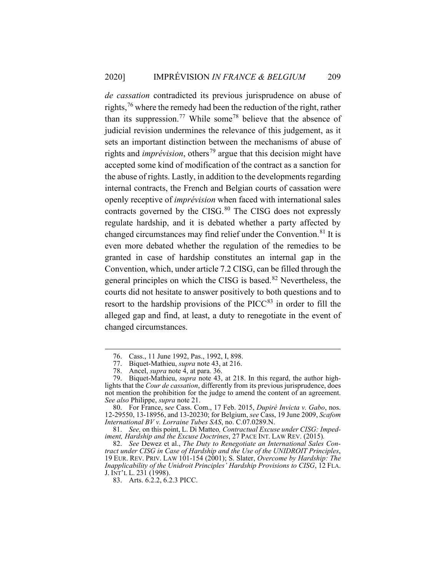*de cassation* contradicted its previous jurisprudence on abuse of rights,<sup>76</sup> where the remedy had been the reduction of the right, rather than its suppression.<sup>77</sup> While some<sup>78</sup> believe that the absence of judicial revision undermines the relevance of this judgement, as it sets an important distinction between the mechanisms of abuse of rights and *imprévision*, others<sup>79</sup> argue that this decision might have accepted some kind of modification of the contract as a sanction for the abuse of rights. Lastly, in addition to the developments regarding internal contracts, the French and Belgian courts of cassation were openly receptive of *imprévision* when faced with international sales contracts governed by the CISG. $80$  The CISG does not expressly regulate hardship, and it is debated whether a party affected by changed circumstances may find relief under the Convention.<sup>81</sup> It is even more debated whether the regulation of the remedies to be granted in case of hardship constitutes an internal gap in the Convention, which, under article 7.2 CISG, can be filled through the general principles on which the CISG is based.<sup>82</sup> Nevertheless, the courts did not hesitate to answer positively to both questions and to resort to the hardship provisions of the  $\text{PICC}^{83}$  in order to fill the alleged gap and find, at least, a duty to renegotiate in the event of changed circumstances.

<sup>76.</sup> Cass., 11 June 1992, Pas., 1992, I, 898.

<sup>77.</sup> Biquet-Mathieu, *supra* note 43, at 216.

<sup>78.</sup> Ancel, *supra* note 4, at para. 36.

<sup>79.</sup> Biquet-Mathieu, *supra* note 43, at 218. In this regard, the author highlights that the *Cour de cassation*, differently from its previous jurisprudence, does not mention the prohibition for the judge to amend the content of an agreement. *See also* Philippe, *supra* note 21.

<sup>80.</sup> For France, s*ee* Cass. Com., 17 Feb. 2015, *Dupiré Invicta v. Gabo*, nos. 12-29550, 13-18956, and 13-20230; for Belgium, *see* Cass, 19 June 2009, *Scafom International BV v. Lorraine Tubes SAS*, no. C.07.0289.N.

<sup>81.</sup> *See,* on this point, L. Di Matteo*, Contractual Excuse under CISG: Impediment, Hardship and the Excuse Doctrines*, 27 PACE INT. LAW REV. (2015)*.*

<sup>82.</sup> *See* Dewez et al., *The Duty to Renegotiate an International Sales Contract under CISG in Case of Hardship and the Use of the UNIDROIT Principles*, 19 EUR. REV. PRIV. LAW 101-154 (2001); S. Slater, *Overcome by Hardship: The Inapplicability of the Unidroit Principles' Hardship Provisions to CISG*, 12 FLA. J. INT'L L. 231 (1998).

<sup>83.</sup> Arts. 6.2.2, 6.2.3 PICC.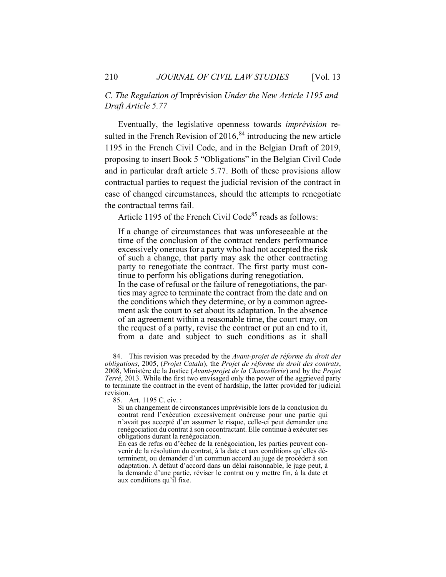*C. The Regulation of* Imprévision *Under the New Article 1195 and Draft Article 5.77* 

Eventually, the legislative openness towards *imprévision* resulted in the French Revision of  $2016$ ,  $84$  introducing the new article 1195 in the French Civil Code, and in the Belgian Draft of 2019, proposing to insert Book 5 "Obligations" in the Belgian Civil Code and in particular draft article 5.77. Both of these provisions allow contractual parties to request the judicial revision of the contract in case of changed circumstances, should the attempts to renegotiate the contractual terms fail.

Article 1195 of the French Civil Code $85$  reads as follows:

If a change of circumstances that was unforeseeable at the time of the conclusion of the contract renders performance excessively onerous for a party who had not accepted the risk of such a change, that party may ask the other contracting party to renegotiate the contract. The first party must continue to perform his obligations during renegotiation. In the case of refusal or the failure of renegotiations, the parties may agree to terminate the contract from the date and on the conditions which they determine, or by a common agreement ask the court to set about its adaptation. In the absence of an agreement within a reasonable time, the court may, on the request of a party, revise the contract or put an end to it, from a date and subject to such conditions as it shall

<sup>84.</sup> This revision was preceded by the *Avant-projet de réforme du droit des obligations*, 2005, (*Projet Catala*), the *Projet de réforme du droit des contrats*, 2008, Ministère de la Justice (*Avant-projet de la Chancellerie*) and by the *Projet Terré*, 2013. While the first two envisaged only the power of the aggrieved party to terminate the contract in the event of hardship, the latter provided for judicial revision.

<sup>85.</sup> Art. 1195 C. civ. :

Si un changement de circonstances imprévisible lors de la conclusion du contrat rend l'exécution excessivement onéreuse pour une partie qui n'avait pas accepté d'en assumer le risque, celle-ci peut demander une renégociation du contrat à son cocontractant. Elle continue à exécuter ses obligations durant la renégociation.

En cas de refus ou d'échec de la renégociation, les parties peuvent convenir de la résolution du contrat, à la date et aux conditions qu'elles déterminent, ou demander d'un commun accord au juge de procéder à son adaptation. A défaut d'accord dans un délai raisonnable, le juge peut, à la demande d'une partie, réviser le contrat ou y mettre fin, à la date et aux conditions qu'il fixe.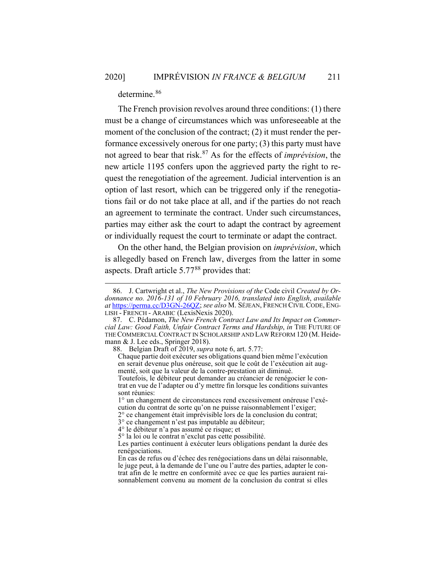determine.<sup>86</sup>

The French provision revolves around three conditions: (1) there must be a change of circumstances which was unforeseeable at the moment of the conclusion of the contract; (2) it must render the performance excessively onerous for one party; (3) this party must have not agreed to bear that risk. <sup>87</sup> As for the effects of *imprévision*, the new article 1195 confers upon the aggrieved party the right to request the renegotiation of the agreement. Judicial intervention is an option of last resort, which can be triggered only if the renegotiations fail or do not take place at all, and if the parties do not reach an agreement to terminate the contract. Under such circumstances, parties may either ask the court to adapt the contract by agreement or individually request the court to terminate or adapt the contract.

On the other hand, the Belgian provision on *imprévision*, which is allegedly based on French law, diverges from the latter in some aspects. Draft article  $5.77^{88}$  provides that:

<sup>86.</sup> J. Cartwright et al., *The New Provisions of the* Code civil *Created by Ordonnance no. 2016-131 of 10 February 2016, translated into English*, *available at* https://perma.cc/D3GN-26QZ; *see also* M. SÉJEAN, FRENCH CIVIL CODE, ENG-LISH - FRENCH - ARABIC (LexisNexis 2020).

<sup>87.</sup> C. Pédamon, *The New French Contract Law and Its Impact on Commercial Law: Good Faith, Unfair Contract Terms and Hardship*, *in* THE FUTURE OF THE COMMERCIAL CONTRACT IN SCHOLARSHIP AND LAW REFORM 120 (M. Heidemann & J. Lee eds., Springer 2018).

<sup>88.</sup> Belgian Draft of 2019, *supra* note 6, art. 5.77:

Chaque partie doit exécuter ses obligations quand bien même l'exécution en serait devenue plus onéreuse, soit que le coût de l'exécution ait augmenté, soit que la valeur de la contre-prestation ait diminué.

Toutefois, le débiteur peut demander au créancier de renégocier le contrat en vue de l'adapter ou d'y mettre fin lorsque les conditions suivantes sont réunies:

<sup>1°</sup> un changement de circonstances rend excessivement onéreuse l'exécution du contrat de sorte qu'on ne puisse raisonnablement l'exiger;

<sup>2°</sup> ce changement était imprévisible lors de la conclusion du contrat;

<sup>3°</sup> ce changement n'est pas imputable au débiteur;

<sup>4°</sup> le débiteur n'a pas assumé ce risque; et

<sup>5°</sup> la loi ou le contrat n'exclut pas cette possibilité.

Les parties continuent à exécuter leurs obligations pendant la durée des renégociations.

En cas de refus ou d'échec des renégociations dans un délai raisonnable, le juge peut, à la demande de l'une ou l'autre des parties, adapter le contrat afin de le mettre en conformité avec ce que les parties auraient raisonnablement convenu au moment de la conclusion du contrat si elles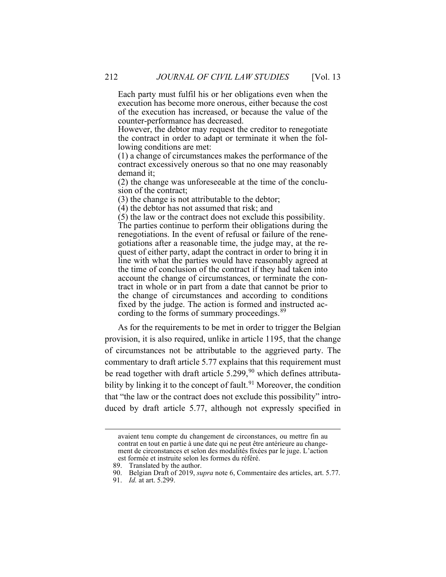Each party must fulfil his or her obligations even when the execution has become more onerous, either because the cost of the execution has increased, or because the value of the counter-performance has decreased.

However, the debtor may request the creditor to renegotiate the contract in order to adapt or terminate it when the following conditions are met:

(1) a change of circumstances makes the performance of the contract excessively onerous so that no one may reasonably demand it;

(2) the change was unforeseeable at the time of the conclusion of the contract;

(3) the change is not attributable to the debtor;

(4) the debtor has not assumed that risk; and

(5) the law or the contract does not exclude this possibility.

The parties continue to perform their obligations during the renegotiations. In the event of refusal or failure of the renegotiations after a reasonable time, the judge may, at the request of either party, adapt the contract in order to bring it in line with what the parties would have reasonably agreed at the time of conclusion of the contract if they had taken into account the change of circumstances, or terminate the contract in whole or in part from a date that cannot be prior to the change of circumstances and according to conditions fixed by the judge. The action is formed and instructed according to the forms of summary proceedings.<sup>89</sup>

As for the requirements to be met in order to trigger the Belgian provision, it is also required, unlike in article 1195, that the change of circumstances not be attributable to the aggrieved party. The commentary to draft article 5.77 explains that this requirement must be read together with draft article  $5.299$ ,  $90$  which defines attributability by linking it to the concept of fault.<sup>91</sup> Moreover, the condition that "the law or the contract does not exclude this possibility" introduced by draft article 5.77, although not expressly specified in

avaient tenu compte du changement de circonstances, ou mettre fin au contrat en tout en partie à une date qui ne peut être antérieure au changement de circonstances et selon des modalités fixées par le juge. L'action est formée et instruite selon les formes du référé.

<sup>89.</sup> Translated by the author.

<sup>90.</sup> Belgian Draft of 2019, *supra* note 6, Commentaire des articles, art. 5.77.

<sup>91.</sup> *Id.* at art. 5.299.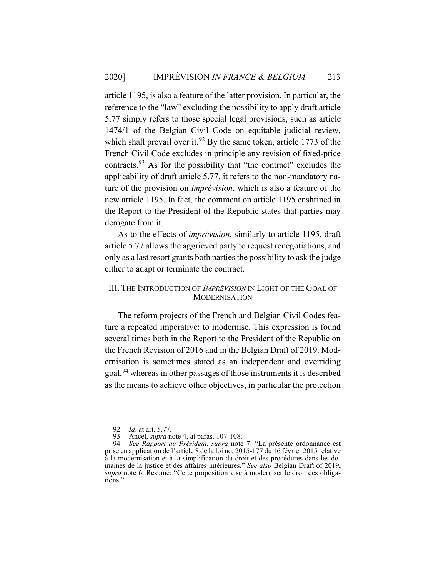article 1195, is also a feature of the latter provision. In particular, the reference to the "law" excluding the possibility to apply draft article 5.77 simply refers to those special legal provisions, such as article 1474/1 of the Belgian Civil Code on equitable judicial review, which shall prevail over it.<sup>92</sup> By the same token, article 1773 of the French Civil Code excludes in principle any revision of fixed-price contracts.<sup>93</sup> As for the possibility that "the contract" excludes the applicability of draft article 5.77, it refers to the non-mandatory nature of the provision on *imprévision*, which is also a feature of the new article 1195. In fact, the comment on article 1195 enshrined in the Report to the President of the Republic states that parties may derogate from it.

As to the effects of *imprévision*, similarly to article 1195, draft article 5.77 allows the aggrieved party to request renegotiations, and only as a last resort grants both parties the possibility to ask the judge either to adapt or terminate the contract.

## III. THE INTRODUCTION OF *IMPRÉVISION* IN LIGHT OF THE GOAL OF **MODERNISATION**

The reform projects of the French and Belgian Civil Codes feature a repeated imperative: to modernise. This expression is found several times both in the Report to the President of the Republic on the French Revision of 2016 and in the Belgian Draft of 2019. Modernisation is sometimes stated as an independent and overriding goal,<sup>94</sup> whereas in other passages of those instruments it is described as the means to achieve other objectives, in particular the protection

<sup>92.</sup> *Id*. at art. 5.77.

<sup>93.</sup> Ancel, *supra* note 4, at paras. 107-108.

<sup>94.</sup> *See Rapport au Président*, *supra* note 7: "La présente ordonnance est prise en application de l'article 8 de la loi no. 2015-177 du 16 février 2015 relative à la modernisation et à la simplification du droit et des procédures dans les domaines de la justice et des affaires intérieures." *See also* Belgian Draft of 2019, *supra* note 6, Resumé: "Cette proposition vise à moderniser le droit des obligations."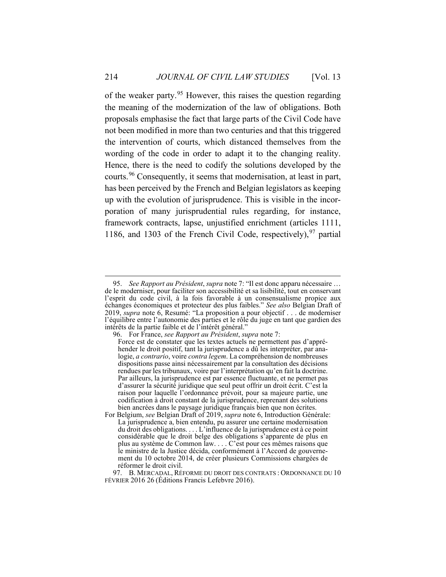of the weaker party.<sup>95</sup> However, this raises the question regarding the meaning of the modernization of the law of obligations. Both proposals emphasise the fact that large parts of the Civil Code have not been modified in more than two centuries and that this triggered the intervention of courts, which distanced themselves from the wording of the code in order to adapt it to the changing reality. Hence, there is the need to codify the solutions developed by the courts.<sup>96</sup> Consequently, it seems that modernisation, at least in part, has been perceived by the French and Belgian legislators as keeping up with the evolution of jurisprudence. This is visible in the incorporation of many jurisprudential rules regarding, for instance, framework contracts, lapse, unjustified enrichment (articles 1111, 1186, and 1303 of the French Civil Code, respectively),  $97$  partial

<sup>95.</sup> *See Rapport au Président*, *supra* note 7: "Il est donc apparu nécessaire … de le moderniser, pour faciliter son accessibilité et sa lisibilité, tout en conservant l'esprit du code civil, à la fois favorable à un consensualisme propice aux échanges économiques et protecteur des plus faibles." *See also* Belgian Draft of 2019, *supra* note 6, Resumé: "La proposition a pour objectif . . . de moderniser l'équilibre entre l'autonomie des parties et le rôle du juge en tant que gardien des intérêts de la partie faible et de l'intérêt général."

<sup>96.</sup> For France, *see Rapport au Président*, *supra* note 7:

Force est de constater que les textes actuels ne permettent pas d'appréhender le droit positif, tant la jurisprudence a dû les interpréter, par analogie, *a contrario*, voire *contra legem*. La compréhension de nombreuses dispositions passe ainsi nécessairement par la consultation des décisions rendues par les tribunaux, voire par l'interprétation qu'en fait la doctrine. Par ailleurs, la jurisprudence est par essence fluctuante, et ne permet pas d'assurer la sécurité juridique que seul peut offrir un droit écrit. C'est la raison pour laquelle l'ordonnance prévoit, pour sa majeure partie, une codification à droit constant de la jurisprudence, reprenant des solutions bien ancrées dans le paysage juridique français bien que non écrites.

For Belgium, *see* Belgian Draft of 2019, *supra* note 6, Introduction Générale: La jurisprudence a, bien entendu, pu assurer une certaine modernisation du droit des obligations. . . . L'influence de la jurisprudence est à ce point considérable que le droit belge des obligations s'apparente de plus en plus au système de Common law. . . . C'est pour ces mêmes raisons que le ministre de la Justice décida, conformément à l'Accord de gouvernement du 10 octobre 2014, de créer plusieurs Commissions chargées de réformer le droit civil.

<sup>97.</sup> B. MERCADAL, RÉFORME DU DROIT DES CONTRATS : ORDONNANCE DU 10 FÉVRIER 2016 26 (Éditions Francis Lefebvre 2016).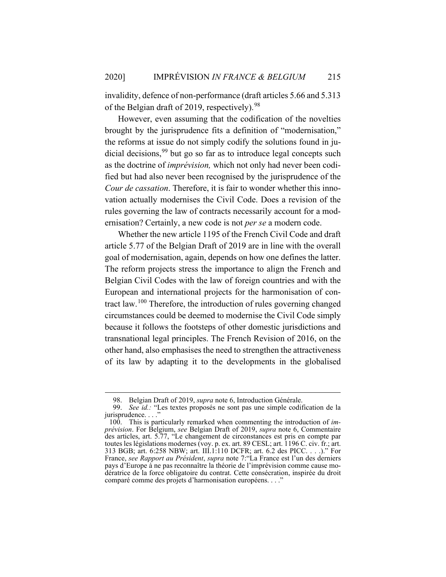invalidity, defence of non-performance (draft articles 5.66 and 5.313 of the Belgian draft of 2019, respectively).<sup>98</sup>

However, even assuming that the codification of the novelties brought by the jurisprudence fits a definition of "modernisation," the reforms at issue do not simply codify the solutions found in judicial decisions,  $99$  but go so far as to introduce legal concepts such as the doctrine of *imprévision,* which not only had never been codified but had also never been recognised by the jurisprudence of the *Cour de cassation*. Therefore, it is fair to wonder whether this innovation actually modernises the Civil Code. Does a revision of the rules governing the law of contracts necessarily account for a modernisation? Certainly, a new code is not *per se* a modern code.

Whether the new article 1195 of the French Civil Code and draft article 5.77 of the Belgian Draft of 2019 are in line with the overall goal of modernisation, again, depends on how one defines the latter. The reform projects stress the importance to align the French and Belgian Civil Codes with the law of foreign countries and with the European and international projects for the harmonisation of contract law.<sup>100</sup> Therefore, the introduction of rules governing changed circumstances could be deemed to modernise the Civil Code simply because it follows the footsteps of other domestic jurisdictions and transnational legal principles. The French Revision of 2016, on the other hand, also emphasises the need to strengthen the attractiveness of its law by adapting it to the developments in the globalised

<sup>98.</sup> Belgian Draft of 2019, *supra* note 6, Introduction Générale.

<sup>99.</sup> *See id.:* "Les textes proposés ne sont pas une simple codification de la jurisprudence...'

<sup>100.</sup> This is particularly remarked when commenting the introduction of *imprévision*. For Belgium, *see* Belgian Draft of 2019, *supra* note 6, Commentaire des articles, art. 5.77, "Le changement de circonstances est pris en compte par toutes les législations modernes (voy. p. ex. art. 89 CESL; art. 1196 C. civ. fr.; art. 313 BGB; art. 6:258 NBW; art. III.1:110 DCFR; art. 6.2 des PICC. . . .)." For France, *see Rapport au Président*, *supra* note 7:"La France est l'un des derniers pays d'Europe à ne pas reconnaître la théorie de l'imprévision comme cause modératrice de la force obligatoire du contrat. Cette consécration, inspirée du droit comparé comme des projets d'harmonisation européens...'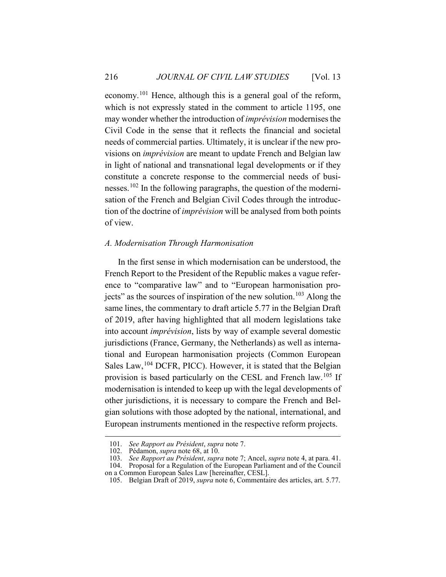economy.<sup>101</sup> Hence, although this is a general goal of the reform, which is not expressly stated in the comment to article 1195, one may wonder whether the introduction of *imprévision* modernises the Civil Code in the sense that it reflects the financial and societal needs of commercial parties. Ultimately, it is unclear if the new provisions on *imprévision* are meant to update French and Belgian law in light of national and transnational legal developments or if they constitute a concrete response to the commercial needs of businesses.<sup>102</sup> In the following paragraphs, the question of the modernisation of the French and Belgian Civil Codes through the introduction of the doctrine of *imprévision* will be analysed from both points of view.

### *A. Modernisation Through Harmonisation*

In the first sense in which modernisation can be understood, the French Report to the President of the Republic makes a vague reference to "comparative law" and to "European harmonisation projects" as the sources of inspiration of the new solution.<sup>103</sup> Along the same lines, the commentary to draft article 5.77 in the Belgian Draft of 2019, after having highlighted that all modern legislations take into account *imprévision*, lists by way of example several domestic jurisdictions (France, Germany, the Netherlands) as well as international and European harmonisation projects (Common European Sales Law,<sup>104</sup> DCFR, PICC). However, it is stated that the Belgian provision is based particularly on the CESL and French law.<sup>105</sup> If modernisation is intended to keep up with the legal developments of other jurisdictions, it is necessary to compare the French and Belgian solutions with those adopted by the national, international, and European instruments mentioned in the respective reform projects.

<sup>101.</sup> *See Rapport au Président*, *supra* note 7.

<sup>102.</sup> Pédamon, *supra* note 68, at 10.

<sup>103.</sup> *See Rapport au Président*, *supra* note 7; Ancel, *supra* note 4, at para. 41.

<sup>104.</sup> Proposal for a Regulation of the European Parliament and of the Council on a Common European Sales Law [hereinafter, CESL].

<sup>105.</sup> Belgian Draft of 2019, *supra* note 6, Commentaire des articles, art. 5.77.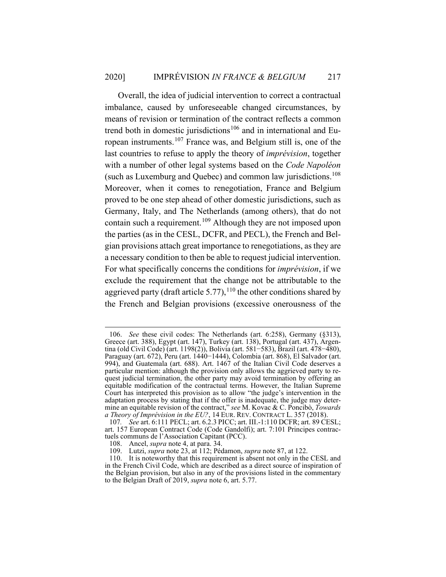Overall, the idea of judicial intervention to correct a contractual imbalance, caused by unforeseeable changed circumstances, by means of revision or termination of the contract reflects a common trend both in domestic jurisdictions<sup>106</sup> and in international and European instruments.<sup>107</sup> France was, and Belgium still is, one of the last countries to refuse to apply the theory of *imprévision*, together with a number of other legal systems based on the *Code Napoléon* (such as Luxemburg and Quebec) and common law jurisdictions.<sup>108</sup> Moreover, when it comes to renegotiation, France and Belgium proved to be one step ahead of other domestic jurisdictions, such as Germany, Italy, and The Netherlands (among others), that do not contain such a requirement.<sup>109</sup> Although they are not imposed upon the parties (as in the CESL, DCFR, and PECL), the French and Belgian provisions attach great importance to renegotiations, as they are a necessary condition to then be able to request judicial intervention. For what specifically concerns the conditions for *imprévision*, if we exclude the requirement that the change not be attributable to the aggrieved party (draft article 5.77),  $110$  the other conditions shared by the French and Belgian provisions (excessive onerousness of the

<sup>106.</sup> *See* these civil codes: The Netherlands (art. 6:258), Germany (§313), Greece (art. 388), Egypt (art. 147), Turkey (art. 138), Portugal (art. 437), Argentina (old Civil Code) (art. 1198(2)), Bolivia (art. 581−583), Brazil (art. 478−480), Paraguay (art. 672), Peru (art. 1440−1444), Colombia (art. 868), El Salvador (art. 994), and Guatemala (art. 688). Art. 1467 of the Italian Civil Code deserves a particular mention: although the provision only allows the aggrieved party to request judicial termination, the other party may avoid termination by offering an equitable modification of the contractual terms. However, the Italian Supreme Court has interpreted this provision as to allow "the judge's intervention in the adaptation process by stating that if the offer is inadequate, the judge may determine an equitable revision of the contract," *see* M. Kovac & C. Poncibò, *Towards a Theory of Imprévision in the EU?*, 14 EUR. REV. CONTRACT L. 357 (2018).

<sup>107</sup>*. See* art. 6:111 PECL; art. 6.2.3 PICC; art. III.-1:110 DCFR; art. 89 CESL; art. 157 European Contract Code (Code Gandolfi); art. 7:101 Principes contractuels communs de l'Association Capitant (PCC).

<sup>108.</sup> Ancel, *supra* note 4, at para. 34.

<sup>109.</sup> Lutzi, *supra* note 23, at 112; Pédamon, *supra* note 87, at 122.

<sup>110.</sup> It is noteworthy that this requirement is absent not only in the CESL and in the French Civil Code, which are described as a direct source of inspiration of the Belgian provision, but also in any of the provisions listed in the commentary to the Belgian Draft of 2019, *supra* note 6, art. 5.77.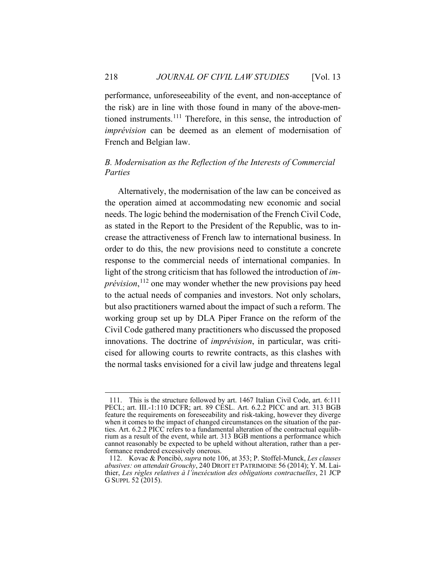performance, unforeseeability of the event, and non-acceptance of the risk) are in line with those found in many of the above-mentioned instruments.<sup>111</sup> Therefore, in this sense, the introduction of *imprévision* can be deemed as an element of modernisation of French and Belgian law.

## *B. Modernisation as the Reflection of the Interests of Commercial Parties*

Alternatively, the modernisation of the law can be conceived as the operation aimed at accommodating new economic and social needs. The logic behind the modernisation of the French Civil Code, as stated in the Report to the President of the Republic, was to increase the attractiveness of French law to international business. In order to do this, the new provisions need to constitute a concrete response to the commercial needs of international companies. In light of the strong criticism that has followed the introduction of *imprévision*, <sup>112</sup> one may wonder whether the new provisions pay heed to the actual needs of companies and investors. Not only scholars, but also practitioners warned about the impact of such a reform. The working group set up by DLA Piper France on the reform of the Civil Code gathered many practitioners who discussed the proposed innovations. The doctrine of *imprévision*, in particular, was criticised for allowing courts to rewrite contracts, as this clashes with the normal tasks envisioned for a civil law judge and threatens legal

<sup>111.</sup> This is the structure followed by art. 1467 Italian Civil Code, art. 6:111 PECL; art. III.-1:110 DCFR; art. 89 CESL. Art. 6.2.2 PICC and art. 313 BGB feature the requirements on foreseeability and risk-taking, however they diverge when it comes to the impact of changed circumstances on the situation of the parties. Art. 6.2.2 PICC refers to a fundamental alteration of the contractual equilibrium as a result of the event, while art. 313 BGB mentions a performance which cannot reasonably be expected to be upheld without alteration, rather than a performance rendered excessively onerous.

<sup>112.</sup> Kovac & Poncibò, *supra* note 106, at 353; P. Stoffel-Munck, *Les clauses abusives: on attendait Grouchy*, 240 DROIT ET PATRIMOINE 56 (2014); Y. M. Laithier, *Les règles relatives à l'inexécution des obligations contractuelles*, 21 JCP G SUPPL 52 (2015).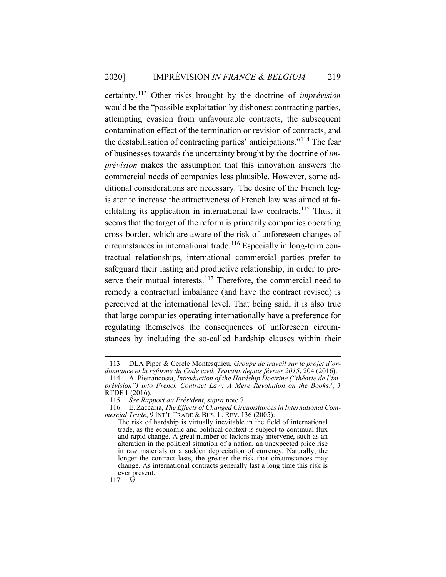certainty.<sup>113</sup> Other risks brought by the doctrine of *imprévision* would be the "possible exploitation by dishonest contracting parties, attempting evasion from unfavourable contracts, the subsequent contamination effect of the termination or revision of contracts, and the destabilisation of contracting parties' anticipations."<sup>114</sup> The fear of businesses towards the uncertainty brought by the doctrine of *imprévision* makes the assumption that this innovation answers the commercial needs of companies less plausible. However, some additional considerations are necessary. The desire of the French legislator to increase the attractiveness of French law was aimed at facilitating its application in international law contracts.<sup>115</sup> Thus, it seems that the target of the reform is primarily companies operating cross-border, which are aware of the risk of unforeseen changes of circumstances in international trade.<sup>116</sup> Especially in long-term contractual relationships, international commercial parties prefer to safeguard their lasting and productive relationship, in order to preserve their mutual interests.<sup>117</sup> Therefore, the commercial need to remedy a contractual imbalance (and have the contract revised) is perceived at the international level. That being said, it is also true that large companies operating internationally have a preference for regulating themselves the consequences of unforeseen circumstances by including the so-called hardship clauses within their

117. *Id*.

<sup>113.</sup> DLA Piper & Cercle Montesquieu, *Groupe de travail sur le projet d'or*donnance et la réforme du Code civil, *Travaux depuis février 2015*, 204 (2016).

<sup>114.</sup> A. Pietrancosta, *Introduction of the Hardship Doctrine ("théorie de l'imprévision") into French Contract Law: A Mere Revolution on the Books?*, 3  $RTDF 1 (2016).$ 

<sup>115.</sup> *See Rapport au Président*, *supra* note 7. 116. E. Zaccaria, *The Effects of Changed Circumstances in International Commercial Trade*, 9 INT'L TRADE & BUS. L. REV. 136 (2005):

The risk of hardship is virtually inevitable in the field of international trade, as the economic and political context is subject to continual flux and rapid change. A great number of factors may intervene, such as an alteration in the political situation of a nation, an unexpected price rise in raw materials or a sudden depreciation of currency. Naturally, the longer the contract lasts, the greater the risk that circumstances may change. As international contracts generally last a long time this risk is ever present.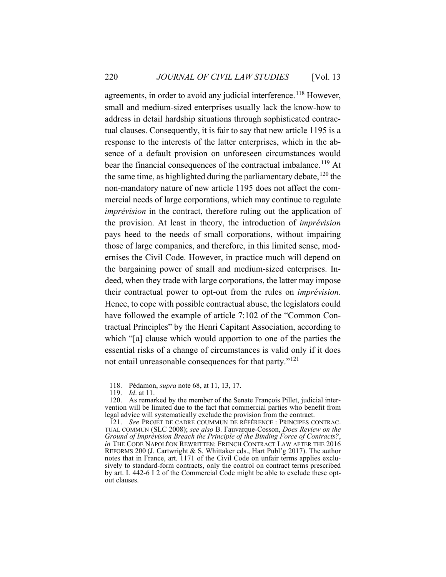agreements, in order to avoid any judicial interference.<sup>118</sup> However, small and medium-sized enterprises usually lack the know-how to address in detail hardship situations through sophisticated contractual clauses. Consequently, it is fair to say that new article 1195 is a response to the interests of the latter enterprises, which in the absence of a default provision on unforeseen circumstances would bear the financial consequences of the contractual imbalance.<sup>119</sup> At the same time, as highlighted during the parliamentary debate,  $120$  the non-mandatory nature of new article 1195 does not affect the commercial needs of large corporations, which may continue to regulate *imprévision* in the contract, therefore ruling out the application of the provision. At least in theory, the introduction of *imprévision*  pays heed to the needs of small corporations, without impairing those of large companies, and therefore, in this limited sense, modernises the Civil Code. However, in practice much will depend on the bargaining power of small and medium-sized enterprises. Indeed, when they trade with large corporations, the latter may impose their contractual power to opt-out from the rules on *imprévision*. Hence, to cope with possible contractual abuse, the legislators could have followed the example of article 7:102 of the "Common Contractual Principles" by the Henri Capitant Association, according to which "[a] clause which would apportion to one of the parties the essential risks of a change of circumstances is valid only if it does not entail unreasonable consequences for that party."<sup>121</sup>

<sup>118.</sup> Pédamon, *supra* note 68, at 11, 13, 17.

<sup>119.</sup> *Id*. at 11.

<sup>120.</sup> As remarked by the member of the Senate François Pillet, judicial intervention will be limited due to the fact that commercial parties who benefit from legal advice will systematically exclude the provision from the contract.

<sup>121.</sup> *See* PROJET DE CADRE COUMMUN DE RÉFÉRENCE : PRINCIPES CONTRAC-TUAL COMMUN (SLC 2008); *see also* B. Fauvarque-Cosson, *Does Review on the Ground of Imprévision Breach the Principle of the Binding Force of Contracts?*, *in* THE CODE NAPOLÉON REWRITTEN: FRENCH CONTRACT LAW AFTER THE 2016 REFORMS 200 (J. Cartwright & S. Whittaker eds., Hart Publ'g 2017). The author notes that in France, art. 1171 of the Civil Code on unfair terms applies exclusively to standard-form contracts, only the control on contract terms prescribed by art. L 442-6 I 2 of the Commercial Code might be able to exclude these optout clauses.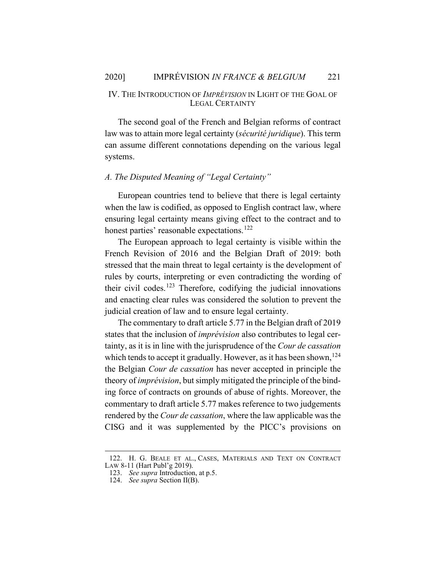#### IV. THE INTRODUCTION OF *IMPRÉVISION* IN LIGHT OF THE GOAL OF LEGAL CERTAINTY

The second goal of the French and Belgian reforms of contract law was to attain more legal certainty (*sécurité juridique*). This term can assume different connotations depending on the various legal systems.

### *A. The Disputed Meaning of "Legal Certainty"*

European countries tend to believe that there is legal certainty when the law is codified, as opposed to English contract law, where ensuring legal certainty means giving effect to the contract and to honest parties' reasonable expectations.<sup>122</sup>

The European approach to legal certainty is visible within the French Revision of 2016 and the Belgian Draft of 2019: both stressed that the main threat to legal certainty is the development of rules by courts, interpreting or even contradicting the wording of their civil codes.<sup>123</sup> Therefore, codifying the judicial innovations and enacting clear rules was considered the solution to prevent the judicial creation of law and to ensure legal certainty.

The commentary to draft article 5.77 in the Belgian draft of 2019 states that the inclusion of *imprévision* also contributes to legal certainty, as it is in line with the jurisprudence of the *Cour de cassation* which tends to accept it gradually. However, as it has been shown,<sup>124</sup> the Belgian *Cour de cassation* has never accepted in principle the theory of *imprévision*, but simply mitigated the principle of the binding force of contracts on grounds of abuse of rights. Moreover, the commentary to draft article 5.77 makes reference to two judgements rendered by the *Cour de cassation*, where the law applicable was the CISG and it was supplemented by the PICC's provisions on

<sup>122.</sup> H. G. BEALE ET AL., CASES, MATERIALS AND TEXT ON CONTRACT

LAW 8-11 (Hart Publ'g 2019).

<sup>123.</sup> *See supra* Introduction, at p.5.

<sup>124.</sup> *See supra* Section II(B).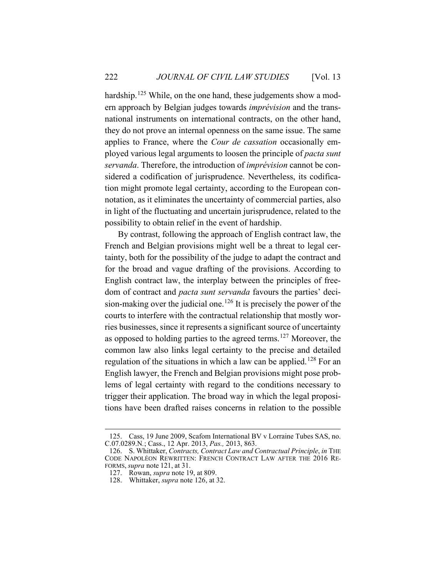hardship.<sup>125</sup> While, on the one hand, these judgements show a modern approach by Belgian judges towards *imprévision* and the transnational instruments on international contracts, on the other hand, they do not prove an internal openness on the same issue. The same applies to France, where the *Cour de cassation* occasionally employed various legal arguments to loosen the principle of *pacta sunt servanda*. Therefore, the introduction of *imprévision* cannot be considered a codification of jurisprudence. Nevertheless, its codification might promote legal certainty, according to the European connotation, as it eliminates the uncertainty of commercial parties, also in light of the fluctuating and uncertain jurisprudence, related to the possibility to obtain relief in the event of hardship.

By contrast, following the approach of English contract law, the French and Belgian provisions might well be a threat to legal certainty, both for the possibility of the judge to adapt the contract and for the broad and vague drafting of the provisions. According to English contract law, the interplay between the principles of freedom of contract and *pacta sunt servanda* favours the parties' decision-making over the judicial one.<sup>126</sup> It is precisely the power of the courts to interfere with the contractual relationship that mostly worries businesses, since it represents a significant source of uncertainty as opposed to holding parties to the agreed terms.<sup>127</sup> Moreover, the common law also links legal certainty to the precise and detailed regulation of the situations in which a law can be applied.<sup>128</sup> For an English lawyer, the French and Belgian provisions might pose problems of legal certainty with regard to the conditions necessary to trigger their application. The broad way in which the legal propositions have been drafted raises concerns in relation to the possible

<sup>125.</sup> Cass, 19 June 2009, Scafom International BV v Lorraine Tubes SAS, no. C.07.0289.N*.*; Cass., 12 Apr. 2013, *Pas.,* 2013, 863.

<sup>126.</sup> S. Whittaker, *Contracts, Contract Law and Contractual Principle*, *in* THE CODE NAPOLÉON REWRITTEN: FRENCH CONTRACT LAW AFTER THE 2016 RE-FORMS, *supra* note 121, at 31.

<sup>127.</sup> Rowan, *supra* note 19, at 809.

<sup>128.</sup> Whittaker, *supra* note 126, at 32.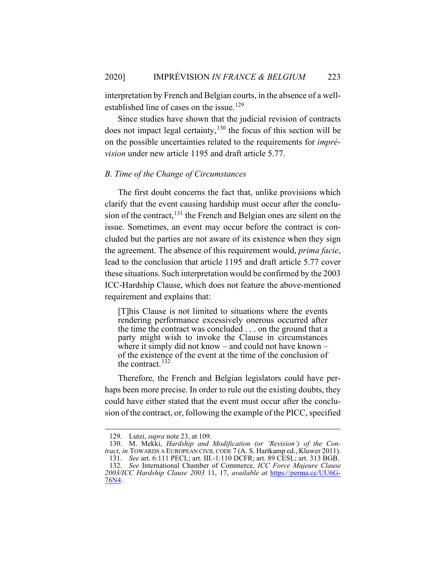interpretation by French and Belgian courts, in the absence of a wellestablished line of cases on the issue.<sup>129</sup>

Since studies have shown that the judicial revision of contracts does not impact legal certainty, $130$  the focus of this section will be on the possible uncertainties related to the requirements for *imprévision* under new article 1195 and draft article 5.77.

### *B. Time of the Change of Circumstances*

The first doubt concerns the fact that, unlike provisions which clarify that the event causing hardship must occur after the conclusion of the contract,<sup>131</sup> the French and Belgian ones are silent on the issue. Sometimes, an event may occur before the contract is concluded but the parties are not aware of its existence when they sign the agreement. The absence of this requirement would, *prima facie*, lead to the conclusion that article 1195 and draft article 5.77 cover these situations. Such interpretation would be confirmed by the 2003 ICC-Hardship Clause, which does not feature the above-mentioned requirement and explains that:

[T]his Clause is not limited to situations where the events rendering performance excessively onerous occurred after the time the contract was concluded . . . on the ground that a party might wish to invoke the Clause in circumstances where it simply did not know – and could not have known – of the existence of the event at the time of the conclusion of the contract. 132

Therefore, the French and Belgian legislators could have perhaps been more precise. In order to rule out the existing doubts, they could have either stated that the event must occur after the conclusion of the contract, or, following the example of the PICC, specified

<sup>129.</sup> Lutzi, *supra* note 23, at 109.

<sup>130.</sup> M. Mekki, *Hardship and Modification (or 'Revision') of the Contract*, *in* Towards A EUROPEAN CIVIL CODE 7 (A. S. Hartkamp ed., Kluwer 2011). 131. *See* art. 6:111 PECL; art. III.-1:110 DCFR; art. 89 CESL; art. 313 BGB.

<sup>132.</sup> *See* International Chamber of Commerce, *ICC Force Majeure Clause 2003/ICC Hardship Clause 2003* 11, 17, *available at* https://perma.cc/UU6G- 76N4.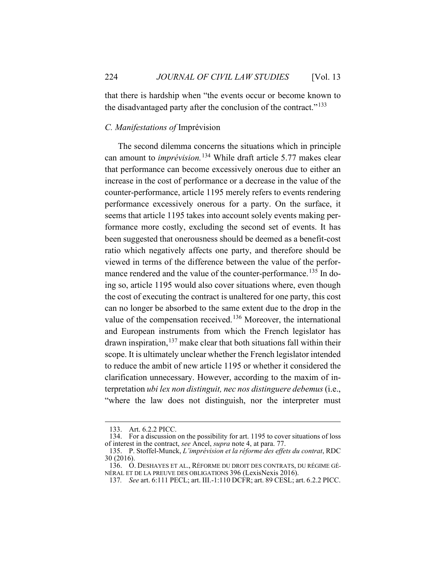that there is hardship when "the events occur or become known to the disadvantaged party after the conclusion of the contract."<sup>133</sup>

#### *C. Manifestations of* Imprévision

The second dilemma concerns the situations which in principle can amount to *imprévision.*<sup>134</sup> While draft article 5.77 makes clear that performance can become excessively onerous due to either an increase in the cost of performance or a decrease in the value of the counter-performance, article 1195 merely refers to events rendering performance excessively onerous for a party. On the surface, it seems that article 1195 takes into account solely events making performance more costly, excluding the second set of events. It has been suggested that onerousness should be deemed as a benefit-cost ratio which negatively affects one party, and therefore should be viewed in terms of the difference between the value of the performance rendered and the value of the counter-performance.<sup>135</sup> In doing so, article 1195 would also cover situations where, even though the cost of executing the contract is unaltered for one party, this cost can no longer be absorbed to the same extent due to the drop in the value of the compensation received.<sup>136</sup> Moreover, the international and European instruments from which the French legislator has drawn inspiration,  $137$  make clear that both situations fall within their scope. It is ultimately unclear whether the French legislator intended to reduce the ambit of new article 1195 or whether it considered the clarification unnecessary. However, according to the maxim of interpretation *ubi lex non distinguit, nec nos distinguere debemus* (i.e., "where the law does not distinguish, nor the interpreter must

<sup>133.</sup> Art. 6.2.2 PICC.

<sup>134.</sup> For a discussion on the possibility for art. 1195 to cover situations of loss of interest in the contract, *see* Ancel, *supra* note 4, at para. 77.

<sup>135.</sup> P. Stoffel-Munck, *L'imprévision et la réforme des effets du contrat*, RDC 30 (2016).

<sup>136.</sup> O. DESHAYES ET AL., RÉFORME DU DROIT DES CONTRATS, DU RÉGIME GÉ-NÉRAL ET DE LA PREUVE DES OBLIGATIONS 396 (LexisNexis 2016).

<sup>137</sup>*. See* art. 6:111 PECL; art. III.-1:110 DCFR; art. 89 CESL; art. 6.2.2 PICC.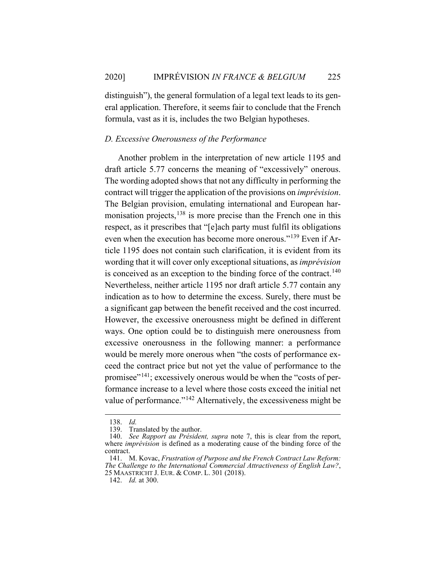distinguish"), the general formulation of a legal text leads to its general application. Therefore, it seems fair to conclude that the French formula, vast as it is, includes the two Belgian hypotheses.

#### *D. Excessive Onerousness of the Performance*

Another problem in the interpretation of new article 1195 and draft article 5.77 concerns the meaning of "excessively" onerous. The wording adopted shows that not any difficulty in performing the contract will trigger the application of the provisions on *imprévision*. The Belgian provision, emulating international and European harmonisation projects, $138$  is more precise than the French one in this respect, as it prescribes that "[e]ach party must fulfil its obligations even when the execution has become more onerous."<sup>139</sup> Even if Article 1195 does not contain such clarification, it is evident from its wording that it will cover only exceptional situations, as *imprévision* is conceived as an exception to the binding force of the contract.<sup>140</sup> Nevertheless, neither article 1195 nor draft article 5.77 contain any indication as to how to determine the excess. Surely, there must be a significant gap between the benefit received and the cost incurred. However, the excessive onerousness might be defined in different ways. One option could be to distinguish mere onerousness from excessive onerousness in the following manner: a performance would be merely more onerous when "the costs of performance exceed the contract price but not yet the value of performance to the promisee"<sup>141</sup>; excessively onerous would be when the "costs of performance increase to a level where those costs exceed the initial net value of performance."<sup>142</sup> Alternatively, the excessiveness might be

<sup>138.</sup> *Id.*

Translated by the author.

<sup>140.</sup> *See Rapport au Président, supra* note 7, this is clear from the report, where *imprévision* is defined as a moderating cause of the binding force of the contract.

<sup>141.</sup> M. Kovac, *Frustration of Purpose and the French Contract Law Reform: The Challenge to the International Commercial Attractiveness of English Law?*, 25 MAASTRICHT J. EUR. & COMP. L. 301 (2018).

<sup>142.</sup> *Id.* at 300.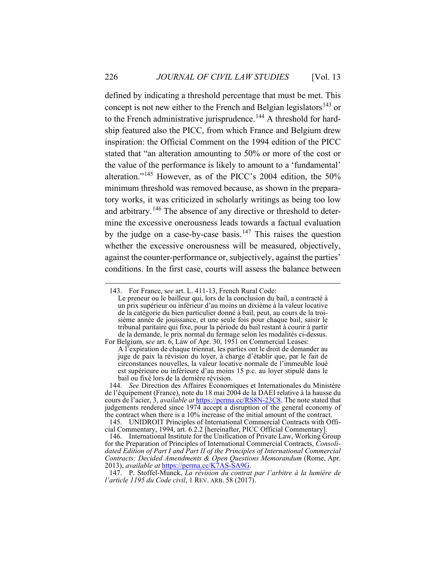defined by indicating a threshold percentage that must be met. This concept is not new either to the French and Belgian legislators<sup>143</sup> or to the French administrative jurisprudence.<sup>144</sup> A threshold for hardship featured also the PICC, from which France and Belgium drew inspiration: the Official Comment on the 1994 edition of the PICC stated that "an alteration amounting to 50% or more of the cost or the value of the performance is likely to amount to a 'fundamental' alteration."<sup>145</sup> However, as of the PICC's 2004 edition, the 50% minimum threshold was removed because, as shown in the preparatory works, it was criticized in scholarly writings as being too low and arbitrary.<sup>146</sup> The absence of any directive or threshold to determine the excessive onerousness leads towards a factual evaluation by the judge on a case-by-case basis.<sup>147</sup> This raises the question whether the excessive onerousness will be measured, objectively, against the counter-performance or, subjectively, against the parties' conditions. In the first case, courts will assess the balance between

<sup>143.</sup> For France, s*ee* art. L. 411-13, French Rural Code:

Le preneur ou le bailleur qui, lors de la conclusion du bail, a contracté à un prix supérieur ou inférieur d'au moins un dixième à la valeur locative de la catégorie du bien particulier donné à bail, peut, au cours de la troisième année de jouissance, et une seule fois pour chaque bail, saisir le tribunal paritaire qui fixe, pour la période du bail restant à courir à partir de la demande, le prix normal du fermage selon les modalités ci-dessus.

For Belgium, s*ee* art. 6, Law of Apr. 30, 1951 on Commercial Leases: A l'expiration de chaque triennat, les parties ont le droit de demander au juge de paix la révision du loyer, à charge d'établir que, par le fait de circonstances nouvelles, la valeur locative normale de l'immeuble loué est supérieure ou inférieure d'au moins 15 p.c. au loyer stipulé dans le bail ou fixé lors de la dernière révision.

<sup>144.</sup> *See* Direction des Affaires Économiques et Internationales du Ministère de l'équipement (France), note du 18 mai 2004 de la DAEI relative à la hausse du cours de l'acier, 3, *available at* https://perma.cc/RS8N-23C8. The note stated that judgements rendered since 1974 accept a disruption of the general economy of the contract when there is a 10% increase of the initial amount of the contract.

<sup>145.</sup> UNIDROIT Principles of International Commercial Contracts with Official Commentary, 1994, art. 6.2.2 [hereinafter, PICC Official Commentary].

<sup>146.</sup> International Institute for the Unification of Private Law, Working Group for the Preparation of Principles of International Commercial Contracts, *Consolidated Edition of Part I and Part II of the Principles of International Commercial Contracts: Decided Amendments & Open Questions Memorandum* (Rome, Apr. 2013), *available at* https://perma.cc/K7AS-SA9G.

<sup>147.</sup> P. Stoffel-Munck, *La révision du contrat par l'arbitre à la lumière de l'article 1195 du Code civil*, 1 REV. ARB. 58 (2017).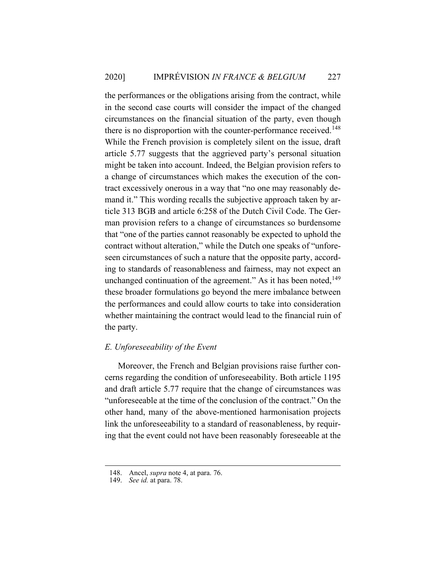2020] IMPRÉVISION *IN FRANCE & BELGIUM* 227

the performances or the obligations arising from the contract, while in the second case courts will consider the impact of the changed circumstances on the financial situation of the party, even though there is no disproportion with the counter-performance received.<sup>148</sup> While the French provision is completely silent on the issue, draft article 5.77 suggests that the aggrieved party's personal situation might be taken into account. Indeed, the Belgian provision refers to a change of circumstances which makes the execution of the contract excessively onerous in a way that "no one may reasonably demand it." This wording recalls the subjective approach taken by article 313 BGB and article 6:258 of the Dutch Civil Code. The German provision refers to a change of circumstances so burdensome that "one of the parties cannot reasonably be expected to uphold the contract without alteration," while the Dutch one speaks of "unforeseen circumstances of such a nature that the opposite party, according to standards of reasonableness and fairness, may not expect an unchanged continuation of the agreement." As it has been noted,  $^{149}$ these broader formulations go beyond the mere imbalance between the performances and could allow courts to take into consideration whether maintaining the contract would lead to the financial ruin of the party.

#### *E. Unforeseeability of the Event*

Moreover, the French and Belgian provisions raise further concerns regarding the condition of unforeseeability. Both article 1195 and draft article 5.77 require that the change of circumstances was "unforeseeable at the time of the conclusion of the contract." On the other hand, many of the above-mentioned harmonisation projects link the unforeseeability to a standard of reasonableness, by requiring that the event could not have been reasonably foreseeable at the

<sup>148.</sup> Ancel, *supra* note 4, at para. 76.

<sup>149.</sup> *See id.* at para. 78.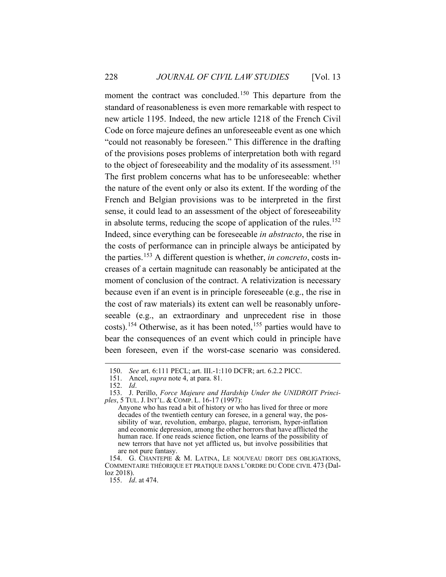moment the contract was concluded.<sup>150</sup> This departure from the standard of reasonableness is even more remarkable with respect to new article 1195. Indeed, the new article 1218 of the French Civil Code on force majeure defines an unforeseeable event as one which "could not reasonably be foreseen." This difference in the drafting of the provisions poses problems of interpretation both with regard to the object of foreseeability and the modality of its assessment.<sup>151</sup> The first problem concerns what has to be unforeseeable: whether the nature of the event only or also its extent. If the wording of the French and Belgian provisions was to be interpreted in the first sense, it could lead to an assessment of the object of foreseeability in absolute terms, reducing the scope of application of the rules.<sup>152</sup> Indeed, since everything can be foreseeable *in abstracto*, the rise in the costs of performance can in principle always be anticipated by the parties.<sup>153</sup> A different question is whether, *in concreto*, costs increases of a certain magnitude can reasonably be anticipated at the moment of conclusion of the contract. A relativization is necessary because even if an event is in principle foreseeable (e.g., the rise in the cost of raw materials) its extent can well be reasonably unforeseeable (e.g., an extraordinary and unprecedent rise in those costs).<sup>154</sup> Otherwise, as it has been noted,<sup>155</sup> parties would have to bear the consequences of an event which could in principle have been foreseen, even if the worst-case scenario was considered.

<sup>150.</sup> *See* art. 6:111 PECL; art. III.-1:110 DCFR; art. 6.2.2 PICC.

<sup>151.</sup> Ancel, *supra* note 4, at para. 81.

<sup>152.</sup> *Id*.

<sup>153.</sup> J. Perillo, *Force Majeure and Hardship Under the UNIDROIT Principles*, 5 TUL. J. INT'L. & COMP. L. 16-17 (1997):

Anyone who has read a bit of history or who has lived for three or more decades of the twentieth century can foresee, in a general way, the possibility of war, revolution, embargo, plague, terrorism, hyper-inflation and economic depression, among the other horrors that have afflicted the human race. If one reads science fiction, one learns of the possibility of new terrors that have not yet afflicted us, but involve possibilities that are not pure fantasy.

<sup>154.</sup> G. CHANTEPIE & M. LATINA, LE NOUVEAU DROIT DES OBLIGATIONS, COMMENTAIRE THÉORIQUE ET PRATIQUE DANS L'ORDRE DU CODE CIVIL 473 (Dalloz 2018).

<sup>155.</sup> *Id*. at 474.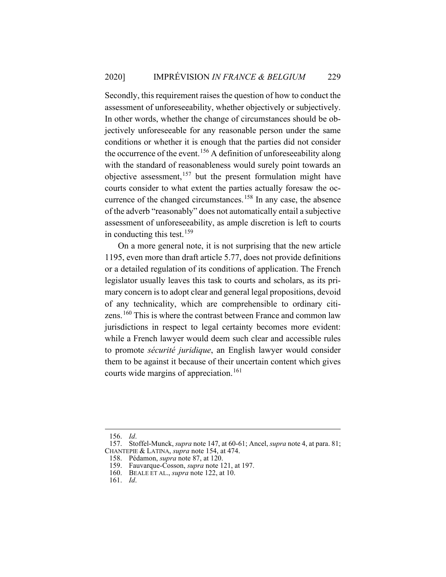Secondly, this requirement raises the question of how to conduct the assessment of unforeseeability, whether objectively or subjectively. In other words, whether the change of circumstances should be objectively unforeseeable for any reasonable person under the same conditions or whether it is enough that the parties did not consider the occurrence of the event.<sup>156</sup> A definition of unforeseeability along with the standard of reasonableness would surely point towards an objective assessment,<sup>157</sup> but the present formulation might have courts consider to what extent the parties actually foresaw the occurrence of the changed circumstances.<sup>158</sup> In any case, the absence of the adverb "reasonably" does not automatically entail a subjective assessment of unforeseeability, as ample discretion is left to courts in conducting this test.<sup>159</sup>

On a more general note, it is not surprising that the new article 1195, even more than draft article 5.77, does not provide definitions or a detailed regulation of its conditions of application. The French legislator usually leaves this task to courts and scholars, as its primary concern is to adopt clear and general legal propositions, devoid of any technicality, which are comprehensible to ordinary citizens.<sup>160</sup> This is where the contrast between France and common law jurisdictions in respect to legal certainty becomes more evident: while a French lawyer would deem such clear and accessible rules to promote *sécurité juridique*, an English lawyer would consider them to be against it because of their uncertain content which gives courts wide margins of appreciation.<sup>161</sup>

<sup>156.</sup> *Id*.

<sup>157.</sup> Stoffel-Munck, *supra* note 147, at 60-61; Ancel, *supra* note 4, at para. 81; CHANTEPIE & LATINA, *supra* note 154, at 474.

<sup>158.</sup> Pédamon, *supra* note 87, at 120.

<sup>159.</sup> Fauvarque-Cosson, *supra* note 121, at 197.

<sup>160.</sup> BEALE ET AL., *supra* note 122, at 10.

<sup>161.</sup> *Id*.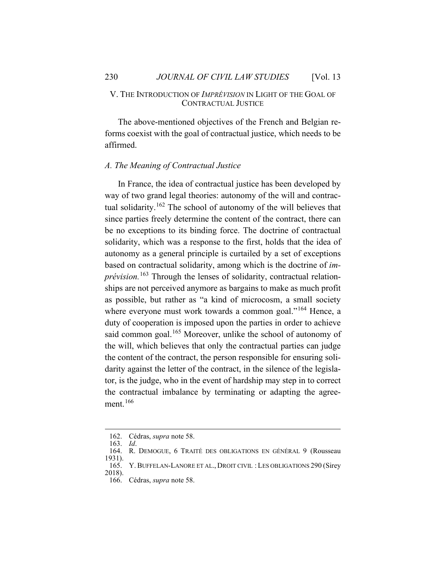#### V. THE INTRODUCTION OF *IMPRÉVISION* IN LIGHT OF THE GOAL OF CONTRACTUAL JUSTICE

The above-mentioned objectives of the French and Belgian reforms coexist with the goal of contractual justice, which needs to be affirmed.

#### *A. The Meaning of Contractual Justice*

In France, the idea of contractual justice has been developed by way of two grand legal theories: autonomy of the will and contractual solidarity.<sup>162</sup> The school of autonomy of the will believes that since parties freely determine the content of the contract, there can be no exceptions to its binding force. The doctrine of contractual solidarity, which was a response to the first, holds that the idea of autonomy as a general principle is curtailed by a set of exceptions based on contractual solidarity, among which is the doctrine of *imprévision.*<sup>163</sup> Through the lenses of solidarity, contractual relationships are not perceived anymore as bargains to make as much profit as possible, but rather as "a kind of microcosm, a small society where everyone must work towards a common goal."<sup>164</sup> Hence, a duty of cooperation is imposed upon the parties in order to achieve said common goal.<sup>165</sup> Moreover, unlike the school of autonomy of the will, which believes that only the contractual parties can judge the content of the contract, the person responsible for ensuring solidarity against the letter of the contract, in the silence of the legislator, is the judge, who in the event of hardship may step in to correct the contractual imbalance by terminating or adapting the agreement. 166

<sup>162.</sup> Cédras, *supra* note 58.

<sup>163.</sup> *Id*.

<sup>164.</sup> R. DEMOGUE, 6 TRAITÉ DES OBLIGATIONS EN GÉNÉRAL 9 (Rousseau 1931).

<sup>165.</sup> Y. BUFFELAN-LANORE ET AL., DROIT CIVIL : LES OBLIGATIONS 290 (Sirey 2018).

<sup>166.</sup> Cédras, *supra* note 58.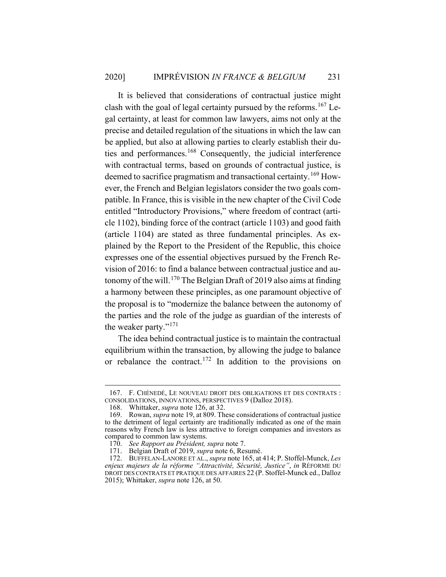It is believed that considerations of contractual justice might clash with the goal of legal certainty pursued by the reforms.<sup>167</sup> Legal certainty, at least for common law lawyers, aims not only at the precise and detailed regulation of the situations in which the law can be applied, but also at allowing parties to clearly establish their duties and performances.<sup>168</sup> Consequently, the judicial interference with contractual terms, based on grounds of contractual justice, is deemed to sacrifice pragmatism and transactional certainty.<sup>169</sup> However, the French and Belgian legislators consider the two goals compatible. In France, this is visible in the new chapter of the Civil Code entitled "Introductory Provisions," where freedom of contract (article 1102), binding force of the contract (article 1103) and good faith (article 1104) are stated as three fundamental principles. As explained by the Report to the President of the Republic, this choice expresses one of the essential objectives pursued by the French Revision of 2016: to find a balance between contractual justice and autonomy of the will.<sup>170</sup> The Belgian Draft of 2019 also aims at finding a harmony between these principles, as one paramount objective of the proposal is to "modernize the balance between the autonomy of the parties and the role of the judge as guardian of the interests of the weaker party."<sup>171</sup>

The idea behind contractual justice is to maintain the contractual equilibrium within the transaction, by allowing the judge to balance or rebalance the contract.<sup>172</sup> In addition to the provisions on

<sup>167.</sup> F. CHÉNEDÉ, LE NOUVEAU DROIT DES OBLIGATIONS ET DES CONTRATS : CONSOLIDATIONS, INNOVATIONS, PERSPECTIVES 9 (Dalloz 2018).

<sup>168.</sup> Whittaker, *supra* note 126, at 32.

<sup>169.</sup> Rowan, *supra* note 19, at 809. These considerations of contractual justice to the detriment of legal certainty are traditionally indicated as one of the main reasons why French law is less attractive to foreign companies and investors as compared to common law systems.

<sup>170.</sup> *See Rapport au Président, supra* note 7.

<sup>171.</sup> Belgian Draft of 2019, *supra* note 6, Resumé.

<sup>172.</sup> BUFFELAN-LANORE ET AL., *supra* note 165, at 414; P. Stoffel-Munck, *Les enjeux majeurs de la réforme "Attractivité, Sécurité, Justice"*, *in* RÉFORME DU DROIT DES CONTRATS ET PRATIQUE DES AFFAIRES 22 (P. Stoffel-Munck ed., Dalloz 2015); Whittaker, *supra* note 126, at 50.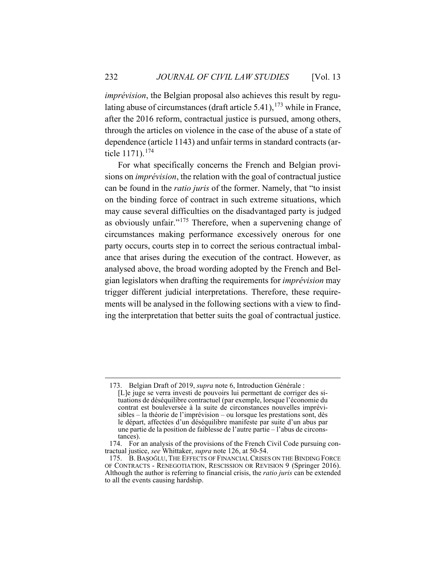*imprévision*, the Belgian proposal also achieves this result by regulating abuse of circumstances (draft article 5.41),  $173$  while in France, after the 2016 reform, contractual justice is pursued, among others, through the articles on violence in the case of the abuse of a state of dependence (article 1143) and unfair terms in standard contracts (article 1171).<sup>174</sup>

For what specifically concerns the French and Belgian provisions on *imprévision*, the relation with the goal of contractual justice can be found in the *ratio juris* of the former. Namely, that "to insist on the binding force of contract in such extreme situations, which may cause several difficulties on the disadvantaged party is judged as obviously unfair."<sup>175</sup> Therefore, when a supervening change of circumstances making performance excessively onerous for one party occurs, courts step in to correct the serious contractual imbalance that arises during the execution of the contract. However, as analysed above, the broad wording adopted by the French and Belgian legislators when drafting the requirements for *imprévision* may trigger different judicial interpretations. Therefore, these requirements will be analysed in the following sections with a view to finding the interpretation that better suits the goal of contractual justice.

<sup>173.</sup> Belgian Draft of 2019, *supra* note 6, Introduction Générale : [L]e juge se verra investi de pouvoirs lui permettant de corriger des situations de déséquilibre contractuel (par exemple, lorsque l'économie du contrat est bouleversée à la suite de circonstances nouvelles imprévisibles – la théorie de l'imprévision – ou lorsque les prestations sont, dès le départ, affectées d'un déséquilibre manifeste par suite d'un abus par une partie de la position de faiblesse de l'autre partie – l'abus de circonstances).

<sup>174.</sup> For an analysis of the provisions of the French Civil Code pursuing contractual justice, *see* Whittaker, *supra* note 126, at 50-54.

<sup>175.</sup> B. BAŞOĞLU, THE EFFECTS OF FINANCIAL CRISES ON THE BINDING FORCE OF CONTRACTS - RENEGOTIATION, RESCISSION OR REVISION 9 (Springer 2016). Although the author is referring to financial crisis, the *ratio juris* can be extended to all the events causing hardship.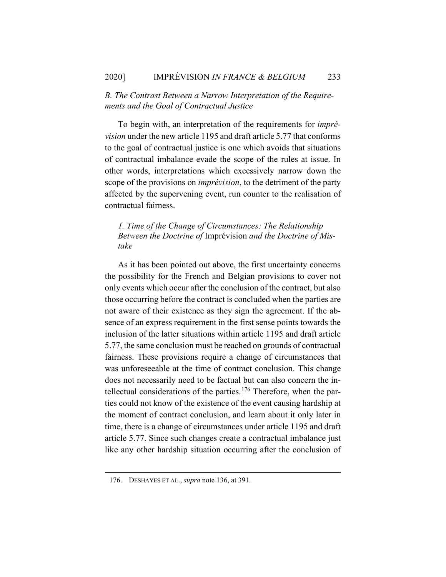## *B. The Contrast Between a Narrow Interpretation of the Requirements and the Goal of Contractual Justice*

To begin with, an interpretation of the requirements for *imprévision* under the new article 1195 and draft article 5.77 that conforms to the goal of contractual justice is one which avoids that situations of contractual imbalance evade the scope of the rules at issue. In other words, interpretations which excessively narrow down the scope of the provisions on *imprévision*, to the detriment of the party affected by the supervening event, run counter to the realisation of contractual fairness.

## *1. Time of the Change of Circumstances: The Relationship Between the Doctrine of* Imprévision *and the Doctrine of Mistake*

As it has been pointed out above, the first uncertainty concerns the possibility for the French and Belgian provisions to cover not only events which occur after the conclusion of the contract, but also those occurring before the contract is concluded when the parties are not aware of their existence as they sign the agreement. If the absence of an express requirement in the first sense points towards the inclusion of the latter situations within article 1195 and draft article 5.77, the same conclusion must be reached on grounds of contractual fairness. These provisions require a change of circumstances that was unforeseeable at the time of contract conclusion. This change does not necessarily need to be factual but can also concern the intellectual considerations of the parties.<sup>176</sup> Therefore, when the parties could not know of the existence of the event causing hardship at the moment of contract conclusion, and learn about it only later in time, there is a change of circumstances under article 1195 and draft article 5.77. Since such changes create a contractual imbalance just like any other hardship situation occurring after the conclusion of

<sup>176.</sup> DESHAYES ET AL., *supra* note 136, at 391.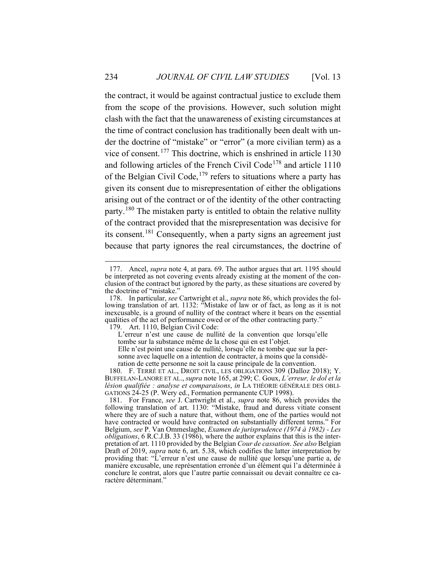the contract, it would be against contractual justice to exclude them from the scope of the provisions. However, such solution might clash with the fact that the unawareness of existing circumstances at the time of contract conclusion has traditionally been dealt with under the doctrine of "mistake" or "error" (a more civilian term) as a vice of consent.<sup>177</sup> This doctrine, which is enshrined in article 1130 and following articles of the French Civil Code<sup>178</sup> and article 1110 of the Belgian Civil Code,<sup>179</sup> refers to situations where a party has given its consent due to misrepresentation of either the obligations arising out of the contract or of the identity of the other contracting party.<sup>180</sup> The mistaken party is entitled to obtain the relative nullity of the contract provided that the misrepresentation was decisive for its consent.<sup>181</sup> Consequently, when a party signs an agreement just because that party ignores the real circumstances, the doctrine of

179. Art. 1110, Belgian Civil Code:

L'erreur n'est une cause de nullité de la convention que lorsqu'elle tombe sur la substance même de la chose qui en est l'objet. Elle n'est point une cause de nullité, lorsqu'elle ne tombe que sur la per-

sonne avec laquelle on a intention de contracter, à moins que la considération de cette personne ne soit la cause principale de la convention.

<sup>177.</sup> Ancel, *supra* note 4, at para. 69. The author argues that art. 1195 should be interpreted as not covering events already existing at the moment of the conclusion of the contract but ignored by the party, as these situations are covered by the doctrine of "mistake."

<sup>178.</sup> In particular, *see* Cartwright et al., *supra* note 86, which provides the following translation of art. 1132: "Mistake of law or of fact, as long as it is not inexcusable, is a ground of nullity of the contract where it bears on the essential qualities of the act of performance owed or of the other contracting party."

<sup>180.</sup> F. TERRÉ ET AL., DROIT CIVIL, LES OBLIGATIONS 309 (Dalloz 2018); Y. BUFFELAN-LANORE ET AL., *supra* note 165, at 299; C. Goux, *L'erreur, le dol et la lésion qualifiée : analyse et comparaisons*, *in* LA THÉORIE GÉNÉRALE DES OBLI-GATIONS 24-25 (P. Wery ed., Formation permanente CUP 1998).

<sup>181.</sup> For France, *see* J. Cartwright et al., *supra* note 86, which provides the following translation of art. 1130: "Mistake, fraud and duress vitiate consent where they are of such a nature that, without them, one of the parties would not have contracted or would have contracted on substantially different terms." For Belgium, *see* P. Van Ommeslaghe, *Examen de jurisprudence (1974 à 1982) - Les obligations*, 6 R.C.J.B. 33 (1986), where the author explains that this is the interpretation of art. 1110 provided by the Belgian *Cour de cassation*. *See also* Belgian Draft of 2019, *supra* note 6, art. 5.38, which codifies the latter interpretation by providing that: "L'erreur n'est une cause de nullité que lorsqu'une partie a, de manière excusable, une représentation erronée d'un élément qui l'a déterminée à conclure le contrat, alors que l'autre partie connaissait ou devait connaître ce caractère déterminant."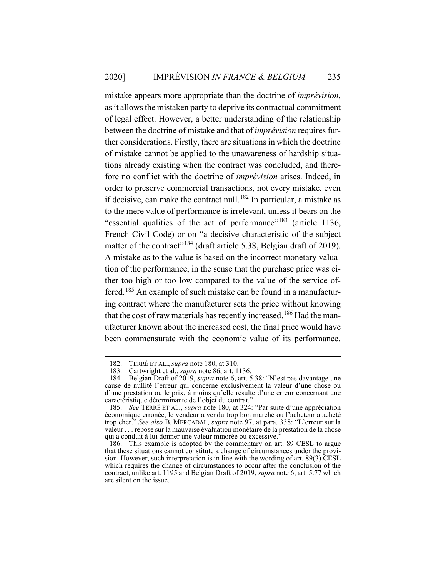mistake appears more appropriate than the doctrine of *imprévision*, as it allows the mistaken party to deprive its contractual commitment of legal effect. However, a better understanding of the relationship between the doctrine of mistake and that of *imprévision* requires further considerations. Firstly, there are situations in which the doctrine of mistake cannot be applied to the unawareness of hardship situations already existing when the contract was concluded, and therefore no conflict with the doctrine of *imprévision* arises. Indeed, in order to preserve commercial transactions, not every mistake, even if decisive, can make the contract null.<sup>182</sup> In particular, a mistake as to the mere value of performance is irrelevant, unless it bears on the "essential qualities of the act of performance"<sup>183</sup> (article 1136, French Civil Code) or on "a decisive characteristic of the subject matter of the contract<sup>"184</sup> (draft article 5.38, Belgian draft of 2019). A mistake as to the value is based on the incorrect monetary valuation of the performance, in the sense that the purchase price was either too high or too low compared to the value of the service offered.<sup>185</sup> An example of such mistake can be found in a manufacturing contract where the manufacturer sets the price without knowing that the cost of raw materials has recently increased.<sup>186</sup> Had the manufacturer known about the increased cost, the final price would have been commensurate with the economic value of its performance.

<sup>182.</sup> TERRÉ ET AL., *supra* note 180, at 310.

<sup>183.</sup> Cartwright et al., *supra* note 86, art. 1136.

<sup>184.</sup> Belgian Draft of 2019, *supra* note 6, art. 5.38: "N'est pas davantage une cause de nullité l'erreur qui concerne exclusivement la valeur d'une chose ou d'une prestation ou le prix, à moins qu'elle résulte d'une erreur concernant une caractéristique déterminante de l'objet du contrat."

<sup>185.</sup> *See* TERRÉ ET AL., *supra* note 180, at 324: "Par suite d'une appréciation économique erronée, le vendeur a vendu trop bon marché ou l'acheteur a acheté trop cher." *See also* B. MERCADAL, *supra* note 97, at para. 338: "L'erreur sur la valeur . . . repose sur la mauvaise évaluation monétaire de la prestation de la chose qui a conduit à lui donner une valeur minorée ou excessive.<sup>5</sup>

<sup>186.</sup> This example is adopted by the commentary on art. 89 CESL to argue that these situations cannot constitute a change of circumstances under the provision. However, such interpretation is in line with the wording of art.  $89(3)$  CESL which requires the change of circumstances to occur after the conclusion of the contract, unlike art. 1195 and Belgian Draft of 2019, *supra* note 6, art. 5.77 which are silent on the issue.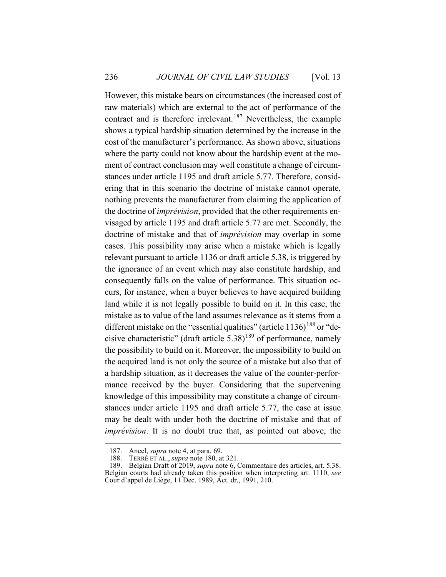However, this mistake bears on circumstances (the increased cost of raw materials) which are external to the act of performance of the contract and is therefore irrelevant.<sup>187</sup> Nevertheless, the example shows a typical hardship situation determined by the increase in the cost of the manufacturer's performance. As shown above, situations where the party could not know about the hardship event at the moment of contract conclusion may well constitute a change of circumstances under article 1195 and draft article 5.77. Therefore, considering that in this scenario the doctrine of mistake cannot operate, nothing prevents the manufacturer from claiming the application of the doctrine of *imprévision*, provided that the other requirements envisaged by article 1195 and draft article 5.77 are met. Secondly, the doctrine of mistake and that of *imprévision* may overlap in some cases. This possibility may arise when a mistake which is legally relevant pursuant to article 1136 or draft article 5.38, is triggered by the ignorance of an event which may also constitute hardship, and consequently falls on the value of performance. This situation occurs, for instance, when a buyer believes to have acquired building land while it is not legally possible to build on it. In this case, the mistake as to value of the land assumes relevance as it stems from a different mistake on the "essential qualities" (article  $1136$ )<sup>188</sup> or "decisive characteristic" (draft article  $5.38$ )<sup>189</sup> of performance, namely the possibility to build on it. Moreover, the impossibility to build on the acquired land is not only the source of a mistake but also that of a hardship situation, as it decreases the value of the counter-performance received by the buyer. Considering that the supervening knowledge of this impossibility may constitute a change of circumstances under article 1195 and draft article 5.77, the case at issue may be dealt with under both the doctrine of mistake and that of *imprévision*. It is no doubt true that, as pointed out above, the

<sup>187.</sup> Ancel, *supra* note 4, at para. 69.

<sup>188.</sup> TERRÉ ET AL., *supra* note 180, at 321.

<sup>189.</sup> Belgian Draft of 2019, *supra* note 6, Commentaire des articles, art. 5.38. Belgian courts had already taken this position when interpreting art. 1110, *see* Cour d'appel de Liège, 11 Dec. 1989, Act. dr., 1991, 210.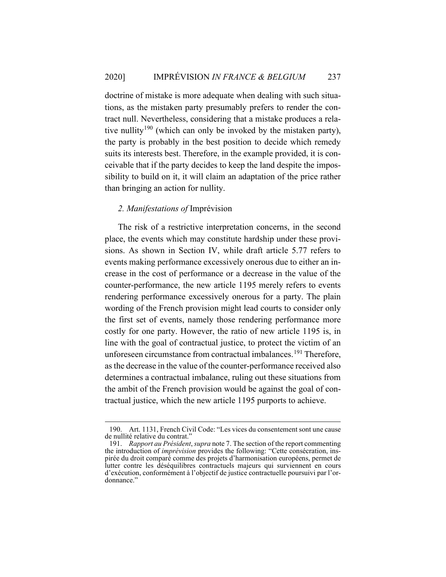doctrine of mistake is more adequate when dealing with such situations, as the mistaken party presumably prefers to render the contract null. Nevertheless, considering that a mistake produces a relative nullity<sup>190</sup> (which can only be invoked by the mistaken party), the party is probably in the best position to decide which remedy suits its interests best. Therefore, in the example provided, it is conceivable that if the party decides to keep the land despite the impossibility to build on it, it will claim an adaptation of the price rather than bringing an action for nullity.

## *2. Manifestations of* Imprévision

The risk of a restrictive interpretation concerns, in the second place, the events which may constitute hardship under these provisions. As shown in Section IV, while draft article 5.77 refers to events making performance excessively onerous due to either an increase in the cost of performance or a decrease in the value of the counter-performance, the new article 1195 merely refers to events rendering performance excessively onerous for a party. The plain wording of the French provision might lead courts to consider only the first set of events, namely those rendering performance more costly for one party. However, the ratio of new article 1195 is, in line with the goal of contractual justice, to protect the victim of an unforeseen circumstance from contractual imbalances.<sup>191</sup> Therefore, as the decrease in the value of the counter-performance received also determines a contractual imbalance, ruling out these situations from the ambit of the French provision would be against the goal of contractual justice, which the new article 1195 purports to achieve.

<sup>190.</sup> Art. 1131, French Civil Code: "Les vices du consentement sont une cause de nullité relative du contrat."

<sup>191.</sup> *Rapport au Président*, *supra* note 7. The section of the report commenting the introduction of *imprévision* provides the following: "Cette consécration, inspirée du droit comparé comme des projets d'harmonisation européens, permet de lutter contre les déséquilibres contractuels majeurs qui surviennent en cours d'exécution, conformément à l'objectif de justice contractuelle poursuivi par l'ordonnance."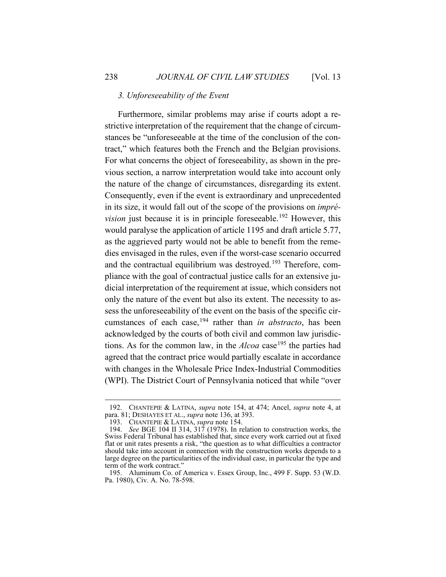#### *3. Unforeseeability of the Event*

Furthermore, similar problems may arise if courts adopt a restrictive interpretation of the requirement that the change of circumstances be "unforeseeable at the time of the conclusion of the contract," which features both the French and the Belgian provisions. For what concerns the object of foreseeability, as shown in the previous section, a narrow interpretation would take into account only the nature of the change of circumstances, disregarding its extent. Consequently, even if the event is extraordinary and unprecedented in its size, it would fall out of the scope of the provisions on *imprévision* just because it is in principle foreseeable.<sup>192</sup> However, this would paralyse the application of article 1195 and draft article 5.77, as the aggrieved party would not be able to benefit from the remedies envisaged in the rules, even if the worst-case scenario occurred and the contractual equilibrium was destroyed.<sup>193</sup> Therefore, compliance with the goal of contractual justice calls for an extensive judicial interpretation of the requirement at issue, which considers not only the nature of the event but also its extent. The necessity to assess the unforeseeability of the event on the basis of the specific circumstances of each case,<sup>194</sup> rather than *in abstracto*, has been acknowledged by the courts of both civil and common law jurisdictions. As for the common law, in the  $Alcoa$  case<sup>195</sup> the parties had agreed that the contract price would partially escalate in accordance with changes in the Wholesale Price Index-Industrial Commodities (WPI). The District Court of Pennsylvania noticed that while "over

<sup>192.</sup> CHANTEPIE & LATINA, *supra* note 154, at 474; Ancel, *supra* note 4, at para. 81; DESHAYES ET AL., *supra* note 136, at 393.

<sup>193.</sup> CHANTEPIE & LATINA, *supra* note 154.

<sup>194.</sup> *See* BGE 104 II 314, 317 (1978). In relation to construction works, the Swiss Federal Tribunal has established that, since every work carried out at fixed flat or unit rates presents a risk, "the question as to what difficulties a contractor should take into account in connection with the construction works depends to a large degree on the particularities of the individual case, in particular the type and term of the work contract."

<sup>195.</sup> Aluminum Co. of America v. Essex Group, Inc., 499 F. Supp. 53 (W.D. Pa. 1980), Civ. A. No. 78-598.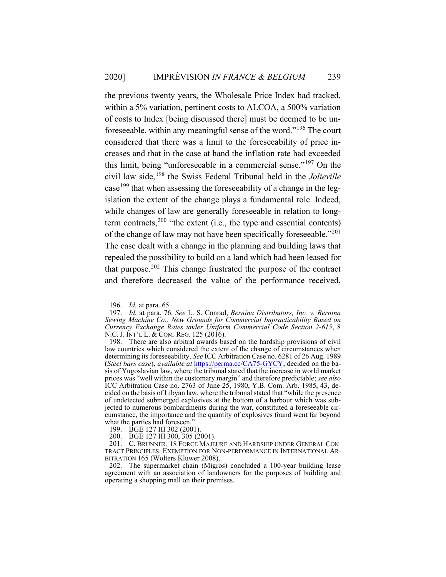the previous twenty years, the Wholesale Price Index had tracked, within a 5% variation, pertinent costs to ALCOA, a 500% variation of costs to Index [being discussed there] must be deemed to be unforeseeable, within any meaningful sense of the word."<sup>196</sup> The court considered that there was a limit to the foreseeability of price increases and that in the case at hand the inflation rate had exceeded this limit, being "unforeseeable in a commercial sense."<sup>197</sup> On the civil law side,<sup>198</sup> the Swiss Federal Tribunal held in the *Jolieville* case<sup>199</sup> that when assessing the foreseeability of a change in the legislation the extent of the change plays a fundamental role. Indeed, while changes of law are generally foreseeable in relation to longterm contracts,  $200$  "the extent (i.e., the type and essential contents) of the change of law may not have been specifically foreseeable."<sup>201</sup> The case dealt with a change in the planning and building laws that repealed the possibility to build on a land which had been leased for that purpose. $202$  This change frustrated the purpose of the contract and therefore decreased the value of the performance received,

<sup>196.</sup> *Id.* at para. 65.

<sup>197.</sup> *Id.* at para. 76. *See* L. S. Conrad, *Bernina Distributors, Inc. v. Bernina Sewing Machine Co.: New Grounds for Commercial Impracticability Based on Currency Exchange Rates under Uniform Commercial Code Section 2-615*, 8 N.C. J. INT'L L. & COM. REG. 125 (2016).

<sup>198.</sup> There are also arbitral awards based on the hardship provisions of civil law countries which considered the extent of the change of circumstances when determining its foreseeability. *See* ICC Arbitration Case no. 6281 of 26 Aug. 1989 (*Steel bars case*), *available at* https://perma.cc/CA75-GYCY, decided on the basis of Yugoslavian law, where the tribunal stated that the increase in world market prices was "well within the customary margin" and therefore predictable; *see also* ICC Arbitration Case no. 2763 of June 25, 1980, Y.B. Com. Arb. 1985, 43, decided on the basis of Libyan law, where the tribunal stated that "while the presence of undetected submerged explosives at the bottom of a harbour which was subjected to numerous bombardments during the war, constituted a foreseeable circumstance, the importance and the quantity of explosives found went far beyond what the parties had foreseen."

<sup>199.</sup> BGE 127 III 302 (2001).

<sup>200.</sup> BGE 127 III 300, 305 (2001).

<sup>201.</sup> C. BRUNNER, 18 FORCE MAJEURE AND HARDSHIP UNDER GENERAL CON-TRACT PRINCIPLES: EXEMPTION FOR NON-PERFORMANCE IN INTERNATIONAL AR-BITRATION 165 (Wolters Kluwer 2008).

<sup>202.</sup> The supermarket chain (Migros) concluded a 100-year building lease agreement with an association of landowners for the purposes of building and operating a shopping mall on their premises.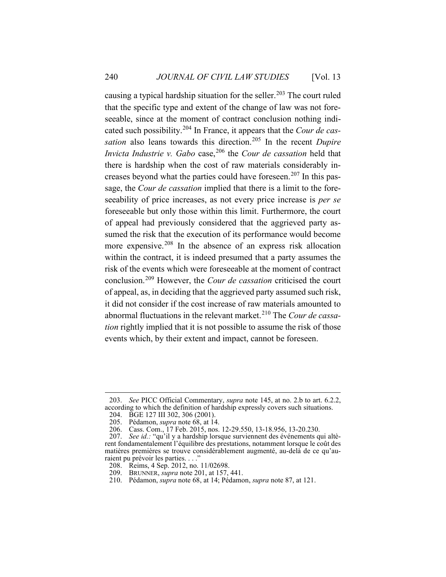causing a typical hardship situation for the seller.<sup>203</sup> The court ruled that the specific type and extent of the change of law was not foreseeable, since at the moment of contract conclusion nothing indicated such possibility.<sup>204</sup> In France, it appears that the *Cour de cassation* also leans towards this direction.<sup>205</sup> In the recent *Dupire Invicta Industrie v. Gabo* case,<sup>206</sup> the *Cour de cassation* held that there is hardship when the cost of raw materials considerably increases beyond what the parties could have foreseen.<sup>207</sup> In this passage, the *Cour de cassation* implied that there is a limit to the foreseeability of price increases, as not every price increase is *per se* foreseeable but only those within this limit. Furthermore, the court of appeal had previously considered that the aggrieved party assumed the risk that the execution of its performance would become more expensive.<sup>208</sup> In the absence of an express risk allocation within the contract, it is indeed presumed that a party assumes the risk of the events which were foreseeable at the moment of contract conclusion.<sup>209</sup> However, the *Cour de cassation* criticised the court of appeal, as, in deciding that the aggrieved party assumed such risk, it did not consider if the cost increase of raw materials amounted to abnormal fluctuations in the relevant market.<sup>210</sup> The *Cour de cassation* rightly implied that it is not possible to assume the risk of those events which, by their extent and impact, cannot be foreseen.

<sup>203.</sup> *See* PICC Official Commentary, *supra* note 145, at no. 2.b to art. 6.2.2, according to which the definition of hardship expressly covers such situations. 204. BGE 127 III 302, 306 (2001).

<sup>205.</sup> Pédamon, *supra* note 68, at 14.

<sup>206.</sup> Cass. Com., 17 Feb. 2015, nos. 12-29.550, 13-18.956, 13-20.230.

<sup>207.</sup> *See id.:* "qu'il y a hardship lorsque surviennent des événements qui altèrent fondamentalement l'équilibre des prestations, notamment lorsque le coût des matières premières se trouve considérablement augmenté, au-delà de ce qu'auraient pu prévoir les parties. . . ."

<sup>208.</sup> Reims, 4 Sep. 2012, no. 11/02698.

<sup>209.</sup> BRUNNER, *supra* note 201, at 157, 441.

<sup>210.</sup> Pédamon, *supra* note 68, at 14; Pédamon, *supra* note 87, at 121.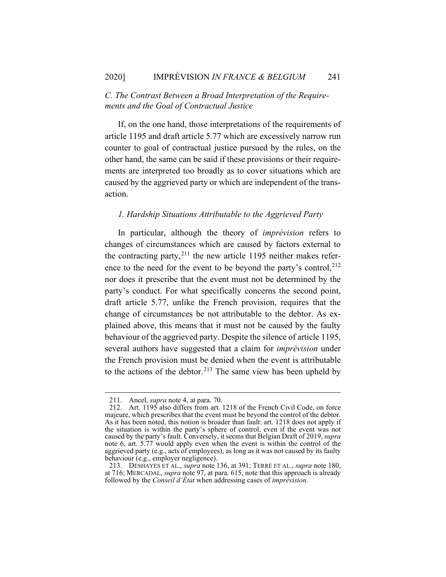## *C. The Contrast Between a Broad Interpretation of the Requirements and the Goal of Contractual Justice*

If, on the one hand, those interpretations of the requirements of article 1195 and draft article 5.77 which are excessively narrow run counter to goal of contractual justice pursued by the rules, on the other hand, the same can be said if these provisions or their requirements are interpreted too broadly as to cover situations which are caused by the aggrieved party or which are independent of the transaction.

#### *1. Hardship Situations Attributable to the Aggrieved Party*

In particular, although the theory of *imprévision* refers to changes of circumstances which are caused by factors external to the contracting party, $^{211}$  the new article 1195 neither makes reference to the need for the event to be beyond the party's control,  $2^{12}$ nor does it prescribe that the event must not be determined by the party's conduct. For what specifically concerns the second point, draft article 5.77, unlike the French provision, requires that the change of circumstances be not attributable to the debtor. As explained above, this means that it must not be caused by the faulty behaviour of the aggrieved party. Despite the silence of article 1195, several authors have suggested that a claim for *imprévision* under the French provision must be denied when the event is attributable to the actions of the debtor.<sup>213</sup> The same view has been upheld by

<sup>211.</sup> Ancel, *supra* note 4, at para. 70.

<sup>212.</sup> Art. 1195 also differs from art. 1218 of the French Civil Code, on force majeure, which prescribes that the event must be beyond the control of the debtor. As it has been noted, this notion is broader than fault: art. 1218 does not apply if the situation is within the party's sphere of control, even if the event was not caused by the party's fault. Conversely, it seems that Belgian Draft of 2019, *supra* note 6, art. 5.77 would apply even when the event is within the control of the aggrieved party (e.g., acts of employees), as long as it was not caused by its faulty behaviour (e.g., employer negligence).

<sup>213.</sup> DESHAYES ET AL., *supra* note 136, at 391; TERRÉ ET AL., *supra* note 180, at 716; MERCADAL, *supra* note 97, at para. 615, note that this approach is already followed by the *Conseil d'État* when addressing cases of *imprévision*.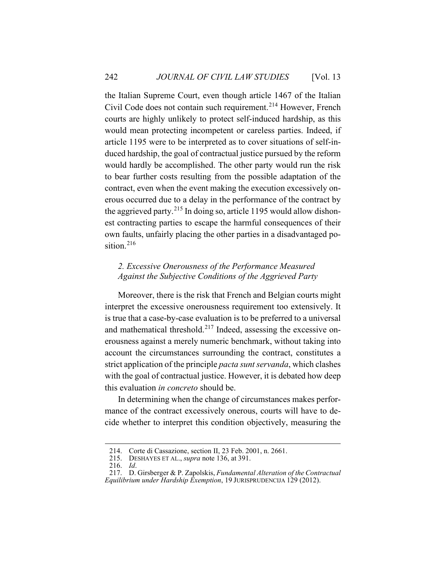the Italian Supreme Court, even though article 1467 of the Italian Civil Code does not contain such requirement.<sup>214</sup> However, French courts are highly unlikely to protect self-induced hardship, as this would mean protecting incompetent or careless parties. Indeed, if article 1195 were to be interpreted as to cover situations of self-induced hardship, the goal of contractual justice pursued by the reform would hardly be accomplished. The other party would run the risk to bear further costs resulting from the possible adaptation of the contract, even when the event making the execution excessively onerous occurred due to a delay in the performance of the contract by the aggrieved party.<sup>215</sup> In doing so, article 1195 would allow dishonest contracting parties to escape the harmful consequences of their own faults, unfairly placing the other parties in a disadvantaged position.<sup>216</sup>

## *2. Excessive Onerousness of the Performance Measured Against the Subjective Conditions of the Aggrieved Party*

Moreover, there is the risk that French and Belgian courts might interpret the excessive onerousness requirement too extensively. It is true that a case-by-case evaluation is to be preferred to a universal and mathematical threshold.<sup>217</sup> Indeed, assessing the excessive onerousness against a merely numeric benchmark, without taking into account the circumstances surrounding the contract, constitutes a strict application of the principle *pacta sunt servanda*, which clashes with the goal of contractual justice. However, it is debated how deep this evaluation *in concreto* should be.

In determining when the change of circumstances makes performance of the contract excessively onerous, courts will have to decide whether to interpret this condition objectively, measuring the

<sup>214.</sup> Corte di Cassazione, section II, 23 Feb. 2001, n. 2661.

<sup>215.</sup> DESHAYES ET AL., *supra* note 136, at 391.

<sup>216.</sup> *Id*.

<sup>217.</sup> D. Girsberger & P. Zapolskis, *Fundamental Alteration of the Contractual Equilibrium under Hardship Exemption*, 19 JURISPRUDENCIJA 129 (2012).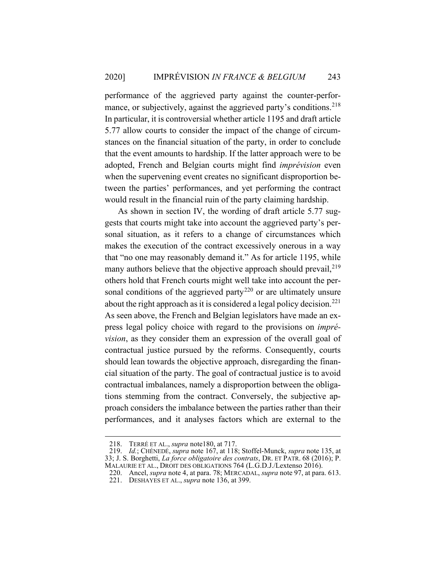performance of the aggrieved party against the counter-performance, or subjectively, against the aggrieved party's conditions.<sup>218</sup> In particular, it is controversial whether article 1195 and draft article 5.77 allow courts to consider the impact of the change of circumstances on the financial situation of the party, in order to conclude that the event amounts to hardship. If the latter approach were to be adopted, French and Belgian courts might find *imprévision* even when the supervening event creates no significant disproportion between the parties' performances, and yet performing the contract would result in the financial ruin of the party claiming hardship.

As shown in section IV, the wording of draft article 5.77 suggests that courts might take into account the aggrieved party's personal situation, as it refers to a change of circumstances which makes the execution of the contract excessively onerous in a way that "no one may reasonably demand it." As for article 1195, while many authors believe that the objective approach should prevail,  $2^{19}$ others hold that French courts might well take into account the personal conditions of the aggrieved party<sup>220</sup> or are ultimately unsure about the right approach as it is considered a legal policy decision.<sup>221</sup> As seen above, the French and Belgian legislators have made an express legal policy choice with regard to the provisions on *imprévision*, as they consider them an expression of the overall goal of contractual justice pursued by the reforms. Consequently, courts should lean towards the objective approach, disregarding the financial situation of the party. The goal of contractual justice is to avoid contractual imbalances, namely a disproportion between the obligations stemming from the contract. Conversely, the subjective approach considers the imbalance between the parties rather than their performances, and it analyses factors which are external to the

<sup>218.</sup> TERRÉ ET AL., *supra* note180, at 717.

<sup>219.</sup> *Id.*; CHÉNEDÉ, *supra* note 167, at 118; Stoffel-Munck, *supra* note 135, at 33; J. S. Borghetti, *La force obligatoire des contrats*, DR. ET PATR. 68 (2016); P. MALAURIE ET AL., DROIT DES OBLIGATIONS 764 (L.G.D.J./Lextenso 2016).

<sup>220.</sup> Ancel, *supra* note 4, at para. 78; MERCADAL, *supra* note 97, at para. 613. 221. DESHAYES ET AL., *supra* note 136, at 399.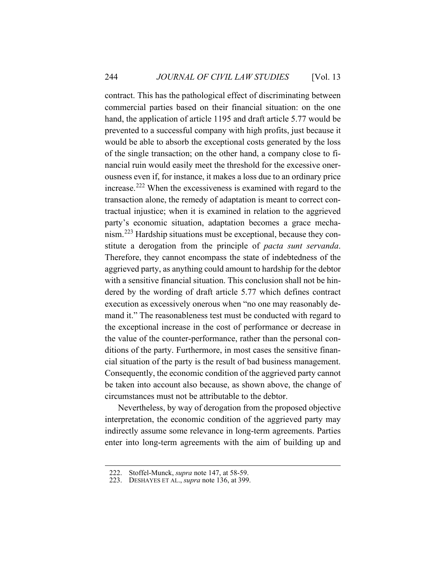contract. This has the pathological effect of discriminating between commercial parties based on their financial situation: on the one hand, the application of article 1195 and draft article 5.77 would be prevented to a successful company with high profits, just because it would be able to absorb the exceptional costs generated by the loss of the single transaction; on the other hand, a company close to financial ruin would easily meet the threshold for the excessive onerousness even if, for instance, it makes a loss due to an ordinary price increase.<sup>222</sup> When the excessiveness is examined with regard to the transaction alone, the remedy of adaptation is meant to correct contractual injustice; when it is examined in relation to the aggrieved party's economic situation, adaptation becomes a grace mechanism.<sup>223</sup> Hardship situations must be exceptional, because they constitute a derogation from the principle of *pacta sunt servanda*. Therefore, they cannot encompass the state of indebtedness of the aggrieved party, as anything could amount to hardship for the debtor with a sensitive financial situation. This conclusion shall not be hindered by the wording of draft article 5.77 which defines contract execution as excessively onerous when "no one may reasonably demand it." The reasonableness test must be conducted with regard to the exceptional increase in the cost of performance or decrease in the value of the counter-performance, rather than the personal conditions of the party. Furthermore, in most cases the sensitive financial situation of the party is the result of bad business management. Consequently, the economic condition of the aggrieved party cannot be taken into account also because, as shown above, the change of circumstances must not be attributable to the debtor.

Nevertheless, by way of derogation from the proposed objective interpretation, the economic condition of the aggrieved party may indirectly assume some relevance in long-term agreements. Parties enter into long-term agreements with the aim of building up and

<sup>222.</sup> Stoffel-Munck, *supra* note 147, at 58-59.

<sup>223.</sup> DESHAYES ET AL., *supra* note 136, at 399.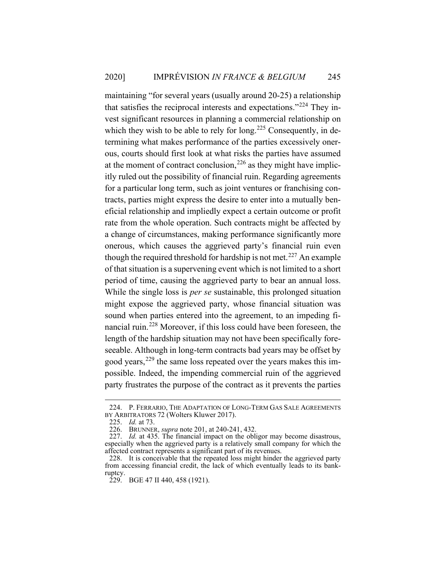maintaining "for several years (usually around 20-25) a relationship that satisfies the reciprocal interests and expectations."<sup>224</sup> They invest significant resources in planning a commercial relationship on which they wish to be able to rely for long.<sup>225</sup> Consequently, in determining what makes performance of the parties excessively onerous, courts should first look at what risks the parties have assumed at the moment of contract conclusion,  $226$  as they might have implicitly ruled out the possibility of financial ruin. Regarding agreements for a particular long term, such as joint ventures or franchising contracts, parties might express the desire to enter into a mutually beneficial relationship and impliedly expect a certain outcome or profit rate from the whole operation. Such contracts might be affected by a change of circumstances, making performance significantly more onerous, which causes the aggrieved party's financial ruin even though the required threshold for hardship is not met.<sup>227</sup> An example of that situation is a supervening event which is not limited to a short period of time, causing the aggrieved party to bear an annual loss. While the single loss is *per se* sustainable, this prolonged situation might expose the aggrieved party, whose financial situation was sound when parties entered into the agreement, to an impeding financial ruin.<sup>228</sup> Moreover, if this loss could have been foreseen, the length of the hardship situation may not have been specifically foreseeable. Although in long-term contracts bad years may be offset by good years,  $229$  the same loss repeated over the years makes this impossible. Indeed, the impending commercial ruin of the aggrieved party frustrates the purpose of the contract as it prevents the parties

<sup>224.</sup> P. FERRARIO, THE ADAPTATION OF LONG-TERM GAS SALE AGREEMENTS BY ARBITRATORS 72 (Wolters Kluwer 2017).

<sup>225.</sup> *Id.* at 73.

<sup>226.</sup> BRUNNER, *supra* note 201, at 240-241, 432.

<sup>227.</sup> *Id.* at 435. The financial impact on the obligor may become disastrous, especially when the aggrieved party is a relatively small company for which the affected contract represents a significant part of its revenues.

<sup>228.</sup> It is conceivable that the repeated loss might hinder the aggrieved party from accessing financial credit, the lack of which eventually leads to its bankruptcy.

<sup>229.</sup> BGE 47 II 440, 458 (1921).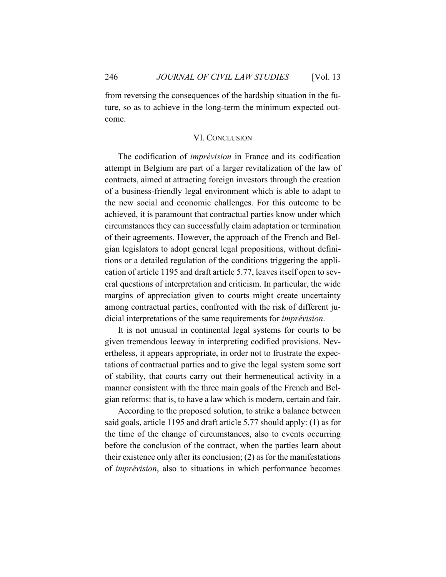from reversing the consequences of the hardship situation in the future, so as to achieve in the long-term the minimum expected outcome.

#### VI. CONCLUSION

The codification of *imprévision* in France and its codification attempt in Belgium are part of a larger revitalization of the law of contracts, aimed at attracting foreign investors through the creation of a business-friendly legal environment which is able to adapt to the new social and economic challenges. For this outcome to be achieved, it is paramount that contractual parties know under which circumstances they can successfully claim adaptation or termination of their agreements. However, the approach of the French and Belgian legislators to adopt general legal propositions, without definitions or a detailed regulation of the conditions triggering the application of article 1195 and draft article 5.77, leaves itself open to several questions of interpretation and criticism. In particular, the wide margins of appreciation given to courts might create uncertainty among contractual parties, confronted with the risk of different judicial interpretations of the same requirements for *imprévision*.

It is not unusual in continental legal systems for courts to be given tremendous leeway in interpreting codified provisions. Nevertheless, it appears appropriate, in order not to frustrate the expectations of contractual parties and to give the legal system some sort of stability, that courts carry out their hermeneutical activity in a manner consistent with the three main goals of the French and Belgian reforms: that is, to have a law which is modern, certain and fair.

According to the proposed solution, to strike a balance between said goals, article 1195 and draft article 5.77 should apply: (1) as for the time of the change of circumstances, also to events occurring before the conclusion of the contract, when the parties learn about their existence only after its conclusion; (2) as for the manifestations of *imprévision*, also to situations in which performance becomes